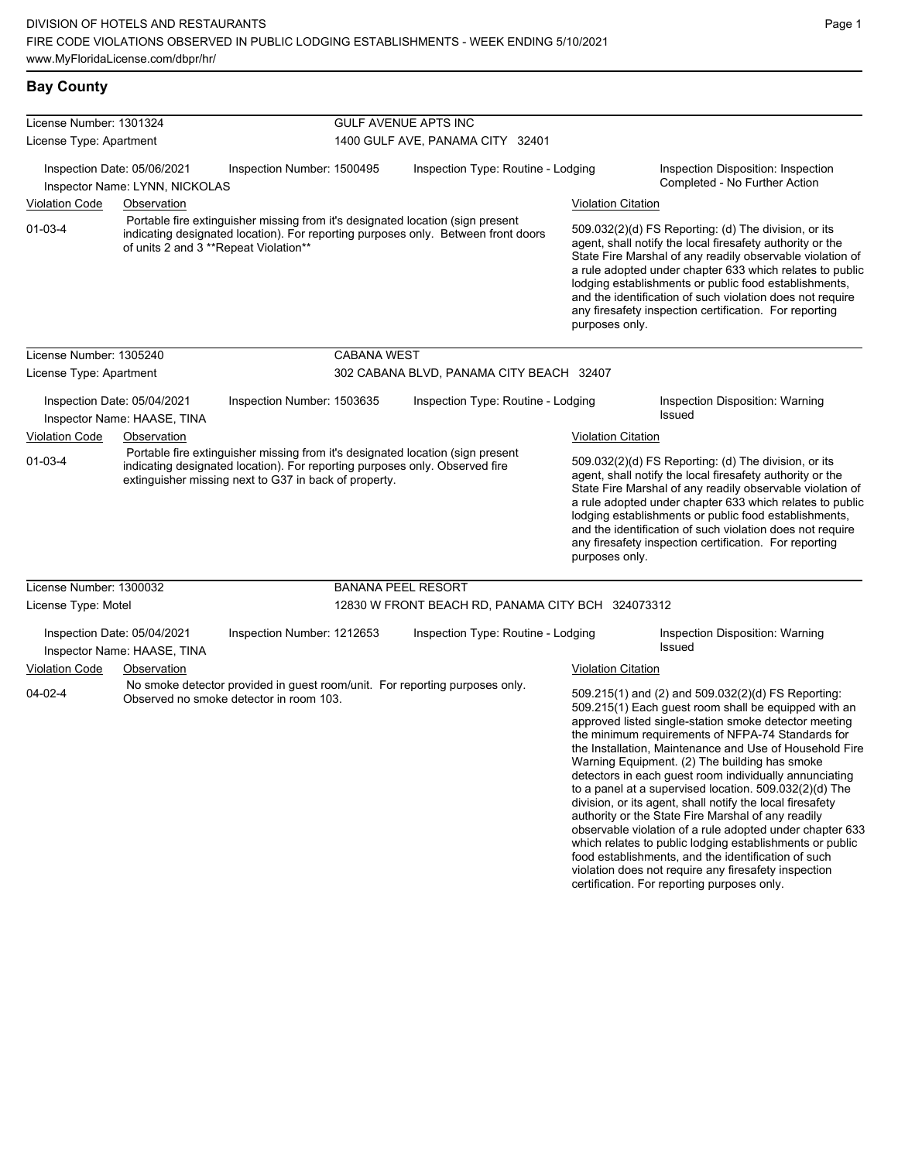## **Bay County**

| License Number: 1301324 |                                                               |                                                       |                                                                                                                                                                     | <b>GULF AVENUE APTS INC</b>                                                 |                                                                                                                                                                                                                                                                                                                                                                                                                                              |                                                                                                                                                                                                                                                                                                                                                                                                                                                                                                                                                                                                                                                                                                                                                                                                                                                                   |  |
|-------------------------|---------------------------------------------------------------|-------------------------------------------------------|---------------------------------------------------------------------------------------------------------------------------------------------------------------------|-----------------------------------------------------------------------------|----------------------------------------------------------------------------------------------------------------------------------------------------------------------------------------------------------------------------------------------------------------------------------------------------------------------------------------------------------------------------------------------------------------------------------------------|-------------------------------------------------------------------------------------------------------------------------------------------------------------------------------------------------------------------------------------------------------------------------------------------------------------------------------------------------------------------------------------------------------------------------------------------------------------------------------------------------------------------------------------------------------------------------------------------------------------------------------------------------------------------------------------------------------------------------------------------------------------------------------------------------------------------------------------------------------------------|--|
| License Type: Apartment |                                                               |                                                       | 1400 GULF AVE, PANAMA CITY 32401                                                                                                                                    |                                                                             |                                                                                                                                                                                                                                                                                                                                                                                                                                              |                                                                                                                                                                                                                                                                                                                                                                                                                                                                                                                                                                                                                                                                                                                                                                                                                                                                   |  |
|                         | Inspection Date: 05/06/2021<br>Inspector Name: LYNN, NICKOLAS | Inspection Number: 1500495                            |                                                                                                                                                                     | Inspection Type: Routine - Lodging                                          |                                                                                                                                                                                                                                                                                                                                                                                                                                              | Inspection Disposition: Inspection<br>Completed - No Further Action                                                                                                                                                                                                                                                                                                                                                                                                                                                                                                                                                                                                                                                                                                                                                                                               |  |
| Violation Code          | Observation                                                   |                                                       | Portable fire extinguisher missing from it's designated location (sign present<br>indicating designated location). For reporting purposes only. Between front doors |                                                                             | <b>Violation Citation</b>                                                                                                                                                                                                                                                                                                                                                                                                                    |                                                                                                                                                                                                                                                                                                                                                                                                                                                                                                                                                                                                                                                                                                                                                                                                                                                                   |  |
| $01-03-4$               | of units 2 and 3 **Repeat Violation**                         |                                                       |                                                                                                                                                                     |                                                                             | 509.032(2)(d) FS Reporting: (d) The division, or its<br>agent, shall notify the local firesafety authority or the<br>State Fire Marshal of any readily observable violation of<br>a rule adopted under chapter 633 which relates to public<br>lodging establishments or public food establishments,<br>and the identification of such violation does not require<br>any firesafety inspection certification. For reporting<br>purposes only. |                                                                                                                                                                                                                                                                                                                                                                                                                                                                                                                                                                                                                                                                                                                                                                                                                                                                   |  |
| License Number: 1305240 |                                                               |                                                       | <b>CABANA WEST</b>                                                                                                                                                  |                                                                             |                                                                                                                                                                                                                                                                                                                                                                                                                                              |                                                                                                                                                                                                                                                                                                                                                                                                                                                                                                                                                                                                                                                                                                                                                                                                                                                                   |  |
| License Type: Apartment |                                                               |                                                       |                                                                                                                                                                     | 302 CABANA BLVD, PANAMA CITY BEACH 32407                                    |                                                                                                                                                                                                                                                                                                                                                                                                                                              |                                                                                                                                                                                                                                                                                                                                                                                                                                                                                                                                                                                                                                                                                                                                                                                                                                                                   |  |
|                         | Inspection Date: 05/04/2021<br>Inspector Name: HAASE, TINA    | Inspection Number: 1503635                            |                                                                                                                                                                     | Inspection Type: Routine - Lodging                                          |                                                                                                                                                                                                                                                                                                                                                                                                                                              | Inspection Disposition: Warning<br>Issued                                                                                                                                                                                                                                                                                                                                                                                                                                                                                                                                                                                                                                                                                                                                                                                                                         |  |
| Violation Code          | Observation                                                   |                                                       |                                                                                                                                                                     |                                                                             | <b>Violation Citation</b>                                                                                                                                                                                                                                                                                                                                                                                                                    |                                                                                                                                                                                                                                                                                                                                                                                                                                                                                                                                                                                                                                                                                                                                                                                                                                                                   |  |
| $01 - 03 - 4$           |                                                               | extinguisher missing next to G37 in back of property. | Portable fire extinguisher missing from it's designated location (sign present<br>indicating designated location). For reporting purposes only. Observed fire       |                                                                             | 509.032(2)(d) FS Reporting: (d) The division, or its<br>agent, shall notify the local firesafety authority or the<br>State Fire Marshal of any readily observable violation of<br>a rule adopted under chapter 633 which relates to public<br>lodging establishments or public food establishments,<br>and the identification of such violation does not require<br>any firesafety inspection certification. For reporting<br>purposes only. |                                                                                                                                                                                                                                                                                                                                                                                                                                                                                                                                                                                                                                                                                                                                                                                                                                                                   |  |
| License Number: 1300032 |                                                               |                                                       | <b>BANANA PEEL RESORT</b>                                                                                                                                           |                                                                             |                                                                                                                                                                                                                                                                                                                                                                                                                                              |                                                                                                                                                                                                                                                                                                                                                                                                                                                                                                                                                                                                                                                                                                                                                                                                                                                                   |  |
| License Type: Motel     |                                                               |                                                       |                                                                                                                                                                     | 12830 W FRONT BEACH RD, PANAMA CITY BCH 324073312                           |                                                                                                                                                                                                                                                                                                                                                                                                                                              |                                                                                                                                                                                                                                                                                                                                                                                                                                                                                                                                                                                                                                                                                                                                                                                                                                                                   |  |
|                         | Inspection Date: 05/04/2021<br>Inspector Name: HAASE, TINA    | Inspection Number: 1212653                            |                                                                                                                                                                     | Inspection Type: Routine - Lodging                                          |                                                                                                                                                                                                                                                                                                                                                                                                                                              | Inspection Disposition: Warning<br>Issued                                                                                                                                                                                                                                                                                                                                                                                                                                                                                                                                                                                                                                                                                                                                                                                                                         |  |
| Violation Code          | Observation                                                   |                                                       |                                                                                                                                                                     |                                                                             | <b>Violation Citation</b>                                                                                                                                                                                                                                                                                                                                                                                                                    |                                                                                                                                                                                                                                                                                                                                                                                                                                                                                                                                                                                                                                                                                                                                                                                                                                                                   |  |
| $04 - 02 - 4$           |                                                               | Observed no smoke detector in room 103.               |                                                                                                                                                                     | No smoke detector provided in guest room/unit. For reporting purposes only. |                                                                                                                                                                                                                                                                                                                                                                                                                                              | 509.215(1) and (2) and 509.032(2)(d) FS Reporting:<br>509.215(1) Each guest room shall be equipped with an<br>approved listed single-station smoke detector meeting<br>the minimum requirements of NFPA-74 Standards for<br>the Installation, Maintenance and Use of Household Fire<br>Warning Equipment. (2) The building has smoke<br>detectors in each guest room individually annunciating<br>to a panel at a supervised location. 509.032(2)(d) The<br>division, or its agent, shall notify the local firesafety<br>authority or the State Fire Marshal of any readily<br>observable violation of a rule adopted under chapter 633<br>which relates to public lodging establishments or public<br>food establishments, and the identification of such<br>violation does not require any firesafety inspection<br>certification. For reporting purposes only. |  |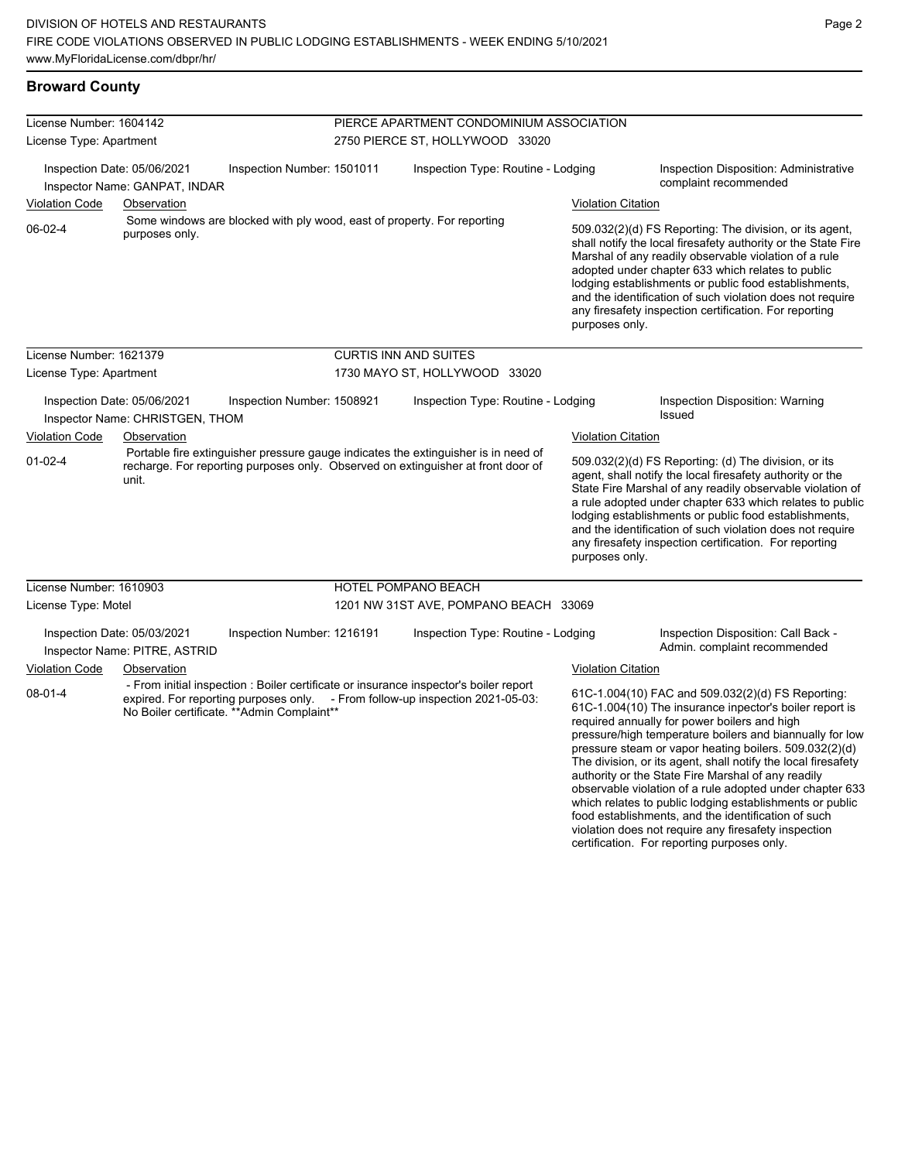#### **Broward County**

| License Number: 1604142 |                                                                |                                                                         | PIERCE APARTMENT CONDOMINIUM ASSOCIATION                                                                                                                               |                                                                                                                                                                                                                                                                                                                                                                                                                                                                       |                                                                                                                                                                                                                                                                                                                                                                                                                            |  |
|-------------------------|----------------------------------------------------------------|-------------------------------------------------------------------------|------------------------------------------------------------------------------------------------------------------------------------------------------------------------|-----------------------------------------------------------------------------------------------------------------------------------------------------------------------------------------------------------------------------------------------------------------------------------------------------------------------------------------------------------------------------------------------------------------------------------------------------------------------|----------------------------------------------------------------------------------------------------------------------------------------------------------------------------------------------------------------------------------------------------------------------------------------------------------------------------------------------------------------------------------------------------------------------------|--|
| License Type: Apartment |                                                                |                                                                         | 2750 PIERCE ST, HOLLYWOOD 33020                                                                                                                                        |                                                                                                                                                                                                                                                                                                                                                                                                                                                                       |                                                                                                                                                                                                                                                                                                                                                                                                                            |  |
|                         | Inspection Date: 05/06/2021<br>Inspector Name: GANPAT, INDAR   | Inspection Number: 1501011                                              | Inspection Type: Routine - Lodging                                                                                                                                     |                                                                                                                                                                                                                                                                                                                                                                                                                                                                       | Inspection Disposition: Administrative<br>complaint recommended                                                                                                                                                                                                                                                                                                                                                            |  |
| <b>Violation Code</b>   | Observation                                                    |                                                                         |                                                                                                                                                                        | <b>Violation Citation</b>                                                                                                                                                                                                                                                                                                                                                                                                                                             |                                                                                                                                                                                                                                                                                                                                                                                                                            |  |
| $06-02-4$               | purposes only.                                                 | Some windows are blocked with ply wood, east of property. For reporting |                                                                                                                                                                        | purposes only.                                                                                                                                                                                                                                                                                                                                                                                                                                                        | 509.032(2)(d) FS Reporting: The division, or its agent,<br>shall notify the local firesafety authority or the State Fire<br>Marshal of any readily observable violation of a rule<br>adopted under chapter 633 which relates to public<br>lodging establishments or public food establishments,<br>and the identification of such violation does not require<br>any firesafety inspection certification. For reporting     |  |
| License Number: 1621379 |                                                                |                                                                         | <b>CURTIS INN AND SUITES</b>                                                                                                                                           |                                                                                                                                                                                                                                                                                                                                                                                                                                                                       |                                                                                                                                                                                                                                                                                                                                                                                                                            |  |
| License Type: Apartment |                                                                |                                                                         | 1730 MAYO ST, HOLLYWOOD 33020                                                                                                                                          |                                                                                                                                                                                                                                                                                                                                                                                                                                                                       |                                                                                                                                                                                                                                                                                                                                                                                                                            |  |
|                         | Inspection Date: 05/06/2021<br>Inspector Name: CHRISTGEN, THOM | Inspection Number: 1508921                                              | Inspection Type: Routine - Lodging                                                                                                                                     |                                                                                                                                                                                                                                                                                                                                                                                                                                                                       | Inspection Disposition: Warning<br>Issued                                                                                                                                                                                                                                                                                                                                                                                  |  |
| <b>Violation Code</b>   | Observation                                                    |                                                                         |                                                                                                                                                                        | <b>Violation Citation</b>                                                                                                                                                                                                                                                                                                                                                                                                                                             |                                                                                                                                                                                                                                                                                                                                                                                                                            |  |
| $01-02-4$               | unit.                                                          |                                                                         | Portable fire extinguisher pressure gauge indicates the extinguisher is in need of<br>recharge. For reporting purposes only. Observed on extinguisher at front door of | purposes only.                                                                                                                                                                                                                                                                                                                                                                                                                                                        | 509.032(2)(d) FS Reporting: (d) The division, or its<br>agent, shall notify the local firesafety authority or the<br>State Fire Marshal of any readily observable violation of<br>a rule adopted under chapter 633 which relates to public<br>lodging establishments or public food establishments,<br>and the identification of such violation does not require<br>any firesafety inspection certification. For reporting |  |
| License Number: 1610903 |                                                                |                                                                         | <b>HOTEL POMPANO BEACH</b>                                                                                                                                             |                                                                                                                                                                                                                                                                                                                                                                                                                                                                       |                                                                                                                                                                                                                                                                                                                                                                                                                            |  |
| License Type: Motel     |                                                                |                                                                         | 1201 NW 31ST AVE, POMPANO BEACH 33069                                                                                                                                  |                                                                                                                                                                                                                                                                                                                                                                                                                                                                       |                                                                                                                                                                                                                                                                                                                                                                                                                            |  |
|                         | Inspection Date: 05/03/2021<br>Inspector Name: PITRE, ASTRID   | Inspection Number: 1216191                                              | Inspection Type: Routine - Lodging                                                                                                                                     |                                                                                                                                                                                                                                                                                                                                                                                                                                                                       | Inspection Disposition: Call Back -<br>Admin. complaint recommended                                                                                                                                                                                                                                                                                                                                                        |  |
| <b>Violation Code</b>   | Observation                                                    |                                                                         |                                                                                                                                                                        | <b>Violation Citation</b>                                                                                                                                                                                                                                                                                                                                                                                                                                             |                                                                                                                                                                                                                                                                                                                                                                                                                            |  |
| $08 - 01 - 4$           |                                                                | No Boiler certificate. ** Admin Complaint**                             | - From initial inspection : Boiler certificate or insurance inspector's boiler report<br>expired. For reporting purposes only. - From follow-up inspection 2021-05-03: | 61C-1.004(10) FAC and 509.032(2)(d) FS Reporting:<br>61C-1,004(10) The insurance inpector's boiler report is<br>required annually for power boilers and high<br>pressure/high temperature boilers and biannually for low<br>pressure steam or vapor heating boilers. 509.032(2)(d)<br>The division, or its agent, shall notify the local firesafety<br>authority or the State Fire Marshal of any readily<br>observable violation of a rule adopted under chapter 633 |                                                                                                                                                                                                                                                                                                                                                                                                                            |  |

which relates to public lodging establishments or public food establishments, and the identification of such violation does not require any firesafety inspection certification. For reporting purposes only.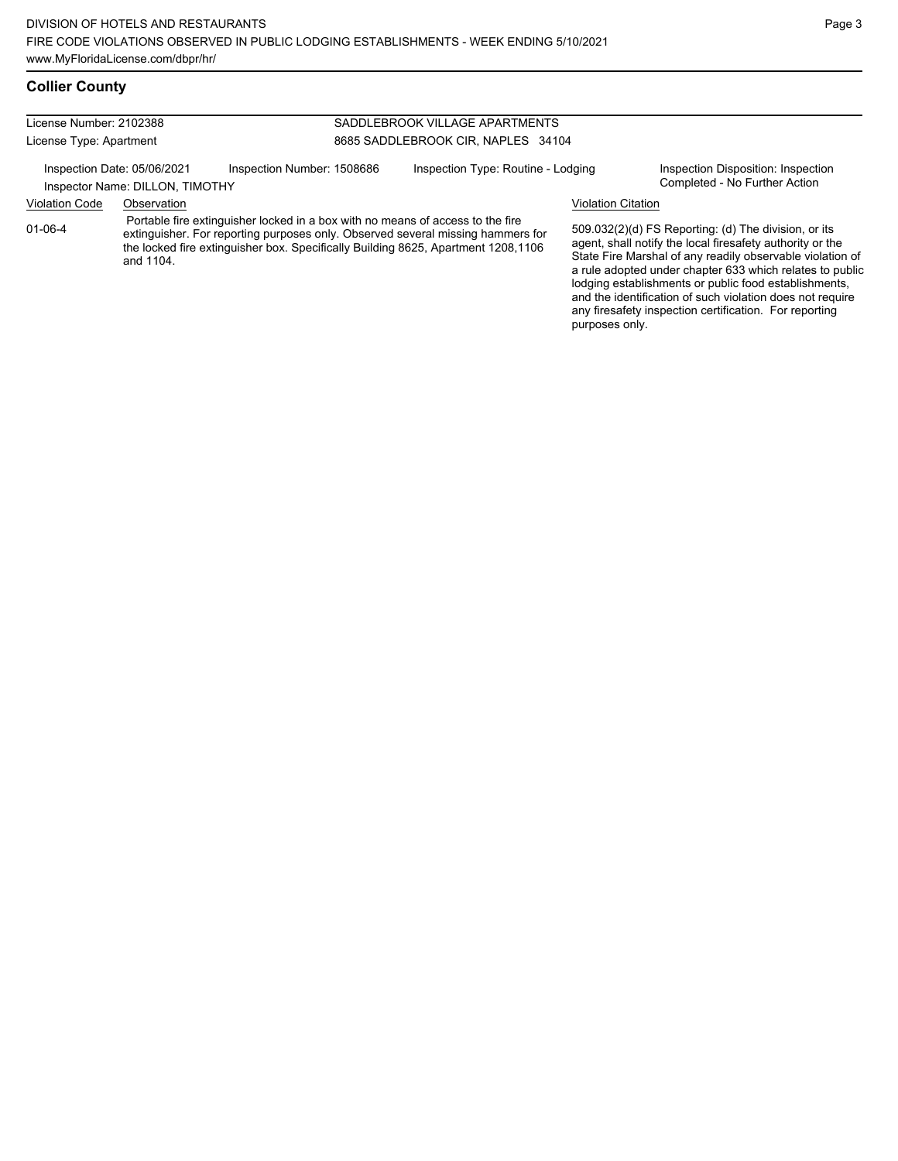| License Number: 2102388                                        |             |                                                                                                                                                                                                                                                        | SADDLEBROOK VILLAGE APARTMENTS     |                           |                                                                                                                                                                                                                                                                                                                                                                                                                            |  |  |
|----------------------------------------------------------------|-------------|--------------------------------------------------------------------------------------------------------------------------------------------------------------------------------------------------------------------------------------------------------|------------------------------------|---------------------------|----------------------------------------------------------------------------------------------------------------------------------------------------------------------------------------------------------------------------------------------------------------------------------------------------------------------------------------------------------------------------------------------------------------------------|--|--|
| License Type: Apartment                                        |             |                                                                                                                                                                                                                                                        | 8685 SADDLEBROOK CIR, NAPLES 34104 |                           |                                                                                                                                                                                                                                                                                                                                                                                                                            |  |  |
| Inspection Date: 05/06/2021<br>Inspector Name: DILLON, TIMOTHY |             | Inspection Number: 1508686                                                                                                                                                                                                                             | Inspection Type: Routine - Lodging |                           | Inspection Disposition: Inspection<br>Completed - No Further Action                                                                                                                                                                                                                                                                                                                                                        |  |  |
| <b>Violation Code</b>                                          | Observation |                                                                                                                                                                                                                                                        |                                    | <b>Violation Citation</b> |                                                                                                                                                                                                                                                                                                                                                                                                                            |  |  |
| $01 - 06 - 4$                                                  | and 1104.   | Portable fire extinguisher locked in a box with no means of access to the fire<br>extinguisher. For reporting purposes only. Observed several missing hammers for<br>the locked fire extinguisher box. Specifically Building 8625, Apartment 1208,1106 |                                    |                           | 509.032(2)(d) FS Reporting: (d) The division, or its<br>agent, shall notify the local firesafety authority or the<br>State Fire Marshal of any readily observable violation of<br>a rule adopted under chapter 633 which relates to public<br>lodging establishments or public food establishments,<br>and the identification of such violation does not require<br>any firesafety inspection certification. For reporting |  |  |

purposes only.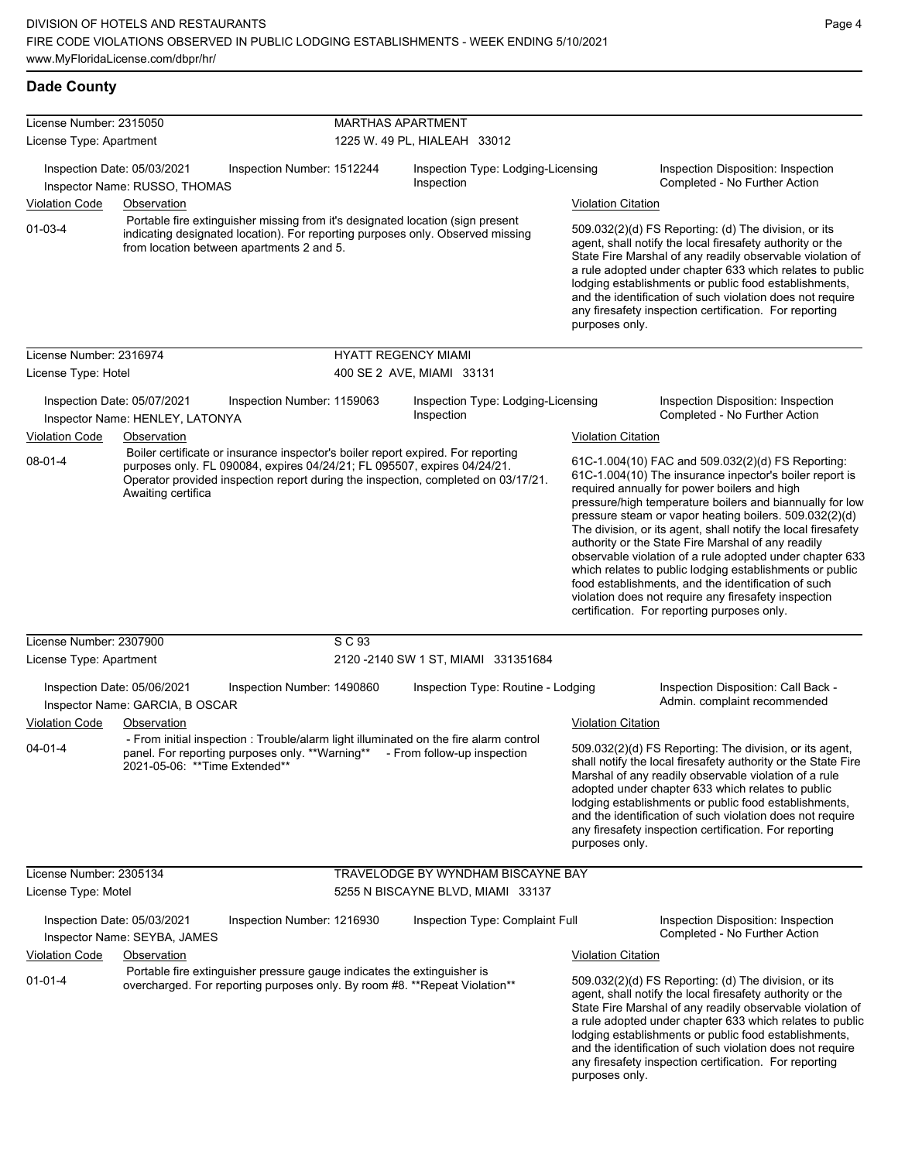#### **Dade County**

| License Number: 2315050                                                                                                                                                                                                        |                                                                                                                                                                                                                                                                         | <b>MARTHAS APARTMENT</b><br>1225 W. 49 PL, HIALEAH 33012                                                                                               |                                                  |                                                                                                                                                                                                                                                                                                                                                                                                                                              |                                                                                                                                                                                                                                                                                                                                                                                                                                          |                                                                                                                                                                                                                                                                                                                                                                                                                                                                                                                                                                                                                                                                                                 |  |
|--------------------------------------------------------------------------------------------------------------------------------------------------------------------------------------------------------------------------------|-------------------------------------------------------------------------------------------------------------------------------------------------------------------------------------------------------------------------------------------------------------------------|--------------------------------------------------------------------------------------------------------------------------------------------------------|--------------------------------------------------|----------------------------------------------------------------------------------------------------------------------------------------------------------------------------------------------------------------------------------------------------------------------------------------------------------------------------------------------------------------------------------------------------------------------------------------------|------------------------------------------------------------------------------------------------------------------------------------------------------------------------------------------------------------------------------------------------------------------------------------------------------------------------------------------------------------------------------------------------------------------------------------------|-------------------------------------------------------------------------------------------------------------------------------------------------------------------------------------------------------------------------------------------------------------------------------------------------------------------------------------------------------------------------------------------------------------------------------------------------------------------------------------------------------------------------------------------------------------------------------------------------------------------------------------------------------------------------------------------------|--|
| License Type: Apartment                                                                                                                                                                                                        |                                                                                                                                                                                                                                                                         |                                                                                                                                                        |                                                  |                                                                                                                                                                                                                                                                                                                                                                                                                                              |                                                                                                                                                                                                                                                                                                                                                                                                                                          |                                                                                                                                                                                                                                                                                                                                                                                                                                                                                                                                                                                                                                                                                                 |  |
|                                                                                                                                                                                                                                | Inspection Date: 05/03/2021<br>Inspector Name: RUSSO, THOMAS                                                                                                                                                                                                            | Inspection Number: 1512244                                                                                                                             | Inspection Type: Lodging-Licensing<br>Inspection |                                                                                                                                                                                                                                                                                                                                                                                                                                              |                                                                                                                                                                                                                                                                                                                                                                                                                                          | Inspection Disposition: Inspection<br>Completed - No Further Action                                                                                                                                                                                                                                                                                                                                                                                                                                                                                                                                                                                                                             |  |
| Violation Code                                                                                                                                                                                                                 | Observation                                                                                                                                                                                                                                                             |                                                                                                                                                        |                                                  |                                                                                                                                                                                                                                                                                                                                                                                                                                              | <b>Violation Citation</b>                                                                                                                                                                                                                                                                                                                                                                                                                |                                                                                                                                                                                                                                                                                                                                                                                                                                                                                                                                                                                                                                                                                                 |  |
| Portable fire extinguisher missing from it's designated location (sign present<br>$01 - 03 - 4$<br>indicating designated location). For reporting purposes only. Observed missing<br>from location between apartments 2 and 5. |                                                                                                                                                                                                                                                                         |                                                                                                                                                        |                                                  | 509.032(2)(d) FS Reporting: (d) The division, or its<br>agent, shall notify the local firesafety authority or the<br>State Fire Marshal of any readily observable violation of<br>a rule adopted under chapter 633 which relates to public<br>lodging establishments or public food establishments,<br>and the identification of such violation does not require<br>any firesafety inspection certification. For reporting<br>purposes only. |                                                                                                                                                                                                                                                                                                                                                                                                                                          |                                                                                                                                                                                                                                                                                                                                                                                                                                                                                                                                                                                                                                                                                                 |  |
| License Number: 2316974                                                                                                                                                                                                        |                                                                                                                                                                                                                                                                         |                                                                                                                                                        | <b>HYATT REGENCY MIAMI</b>                       |                                                                                                                                                                                                                                                                                                                                                                                                                                              |                                                                                                                                                                                                                                                                                                                                                                                                                                          |                                                                                                                                                                                                                                                                                                                                                                                                                                                                                                                                                                                                                                                                                                 |  |
| License Type: Hotel                                                                                                                                                                                                            |                                                                                                                                                                                                                                                                         |                                                                                                                                                        |                                                  | 400 SE 2 AVE, MIAMI 33131                                                                                                                                                                                                                                                                                                                                                                                                                    |                                                                                                                                                                                                                                                                                                                                                                                                                                          |                                                                                                                                                                                                                                                                                                                                                                                                                                                                                                                                                                                                                                                                                                 |  |
| Violation Code                                                                                                                                                                                                                 | Inspection Date: 05/07/2021<br>Inspector Name: HENLEY, LATONYA<br>Observation                                                                                                                                                                                           | Inspection Number: 1159063                                                                                                                             |                                                  | Inspection Type: Lodging-Licensing<br>Inspection                                                                                                                                                                                                                                                                                                                                                                                             | <b>Violation Citation</b>                                                                                                                                                                                                                                                                                                                                                                                                                | Inspection Disposition: Inspection<br>Completed - No Further Action                                                                                                                                                                                                                                                                                                                                                                                                                                                                                                                                                                                                                             |  |
| $08 - 01 - 4$                                                                                                                                                                                                                  | Boiler certificate or insurance inspector's boiler report expired. For reporting<br>purposes only. FL 090084, expires 04/24/21; FL 095507, expires 04/24/21.<br>Operator provided inspection report during the inspection, completed on 03/17/21.<br>Awaiting certifica |                                                                                                                                                        |                                                  |                                                                                                                                                                                                                                                                                                                                                                                                                                              |                                                                                                                                                                                                                                                                                                                                                                                                                                          | 61C-1.004(10) FAC and 509.032(2)(d) FS Reporting:<br>61C-1.004(10) The insurance inpector's boiler report is<br>required annually for power boilers and high<br>pressure/high temperature boilers and biannually for low<br>pressure steam or vapor heating boilers. 509.032(2)(d)<br>The division, or its agent, shall notify the local firesafety<br>authority or the State Fire Marshal of any readily<br>observable violation of a rule adopted under chapter 633<br>which relates to public lodging establishments or public<br>food establishments, and the identification of such<br>violation does not require any firesafety inspection<br>certification. For reporting purposes only. |  |
| License Number: 2307900                                                                                                                                                                                                        |                                                                                                                                                                                                                                                                         |                                                                                                                                                        | S C 93                                           |                                                                                                                                                                                                                                                                                                                                                                                                                                              |                                                                                                                                                                                                                                                                                                                                                                                                                                          |                                                                                                                                                                                                                                                                                                                                                                                                                                                                                                                                                                                                                                                                                                 |  |
| License Type: Apartment                                                                                                                                                                                                        |                                                                                                                                                                                                                                                                         |                                                                                                                                                        |                                                  | 2120 - 2140 SW 1 ST, MIAMI 331351684                                                                                                                                                                                                                                                                                                                                                                                                         |                                                                                                                                                                                                                                                                                                                                                                                                                                          |                                                                                                                                                                                                                                                                                                                                                                                                                                                                                                                                                                                                                                                                                                 |  |
|                                                                                                                                                                                                                                | Inspection Date: 05/06/2021<br>Inspector Name: GARCIA, B OSCAR                                                                                                                                                                                                          | Inspection Number: 1490860                                                                                                                             |                                                  | Inspection Type: Routine - Lodging                                                                                                                                                                                                                                                                                                                                                                                                           |                                                                                                                                                                                                                                                                                                                                                                                                                                          | Inspection Disposition: Call Back -<br>Admin. complaint recommended                                                                                                                                                                                                                                                                                                                                                                                                                                                                                                                                                                                                                             |  |
| Violation Code                                                                                                                                                                                                                 | Observation                                                                                                                                                                                                                                                             |                                                                                                                                                        |                                                  |                                                                                                                                                                                                                                                                                                                                                                                                                                              | <b>Violation Citation</b>                                                                                                                                                                                                                                                                                                                                                                                                                |                                                                                                                                                                                                                                                                                                                                                                                                                                                                                                                                                                                                                                                                                                 |  |
| $04 - 01 - 4$                                                                                                                                                                                                                  | 2021-05-06:  **Time Extended**                                                                                                                                                                                                                                          |                                                                                                                                                        |                                                  | - From initial inspection : Trouble/alarm light illuminated on the fire alarm control<br>panel. For reporting purposes only. **Warning** - From follow-up inspection                                                                                                                                                                                                                                                                         | 509.032(2)(d) FS Reporting: The division, or its agent,<br>shall notify the local firesafety authority or the State Fire<br>Marshal of any readily observable violation of a rule<br>adopted under chapter 633 which relates to public<br>lodging establishments or public food establishments,<br>and the identification of such violation does not require<br>any firesafety inspection certification. For reporting<br>purposes only. |                                                                                                                                                                                                                                                                                                                                                                                                                                                                                                                                                                                                                                                                                                 |  |
| License Number: 2305134                                                                                                                                                                                                        |                                                                                                                                                                                                                                                                         |                                                                                                                                                        |                                                  | TRAVELODGE BY WYNDHAM BISCAYNE BAY                                                                                                                                                                                                                                                                                                                                                                                                           |                                                                                                                                                                                                                                                                                                                                                                                                                                          |                                                                                                                                                                                                                                                                                                                                                                                                                                                                                                                                                                                                                                                                                                 |  |
| License Type: Motel                                                                                                                                                                                                            |                                                                                                                                                                                                                                                                         |                                                                                                                                                        |                                                  | 5255 N BISCAYNE BLVD, MIAMI 33137                                                                                                                                                                                                                                                                                                                                                                                                            |                                                                                                                                                                                                                                                                                                                                                                                                                                          |                                                                                                                                                                                                                                                                                                                                                                                                                                                                                                                                                                                                                                                                                                 |  |
|                                                                                                                                                                                                                                | Inspection Date: 05/03/2021<br>Inspector Name: SEYBA, JAMES                                                                                                                                                                                                             | Inspection Number: 1216930                                                                                                                             |                                                  | Inspection Type: Complaint Full                                                                                                                                                                                                                                                                                                                                                                                                              |                                                                                                                                                                                                                                                                                                                                                                                                                                          | Inspection Disposition: Inspection<br>Completed - No Further Action                                                                                                                                                                                                                                                                                                                                                                                                                                                                                                                                                                                                                             |  |
| <b>Violation Code</b>                                                                                                                                                                                                          | <b>Observation</b>                                                                                                                                                                                                                                                      |                                                                                                                                                        |                                                  |                                                                                                                                                                                                                                                                                                                                                                                                                                              | <b>Violation Citation</b>                                                                                                                                                                                                                                                                                                                                                                                                                |                                                                                                                                                                                                                                                                                                                                                                                                                                                                                                                                                                                                                                                                                                 |  |
| $01 - 01 - 4$                                                                                                                                                                                                                  |                                                                                                                                                                                                                                                                         | Portable fire extinguisher pressure gauge indicates the extinguisher is<br>overcharged. For reporting purposes only. By room #8. ** Repeat Violation** |                                                  |                                                                                                                                                                                                                                                                                                                                                                                                                                              | purposes only.                                                                                                                                                                                                                                                                                                                                                                                                                           | 509.032(2)(d) FS Reporting: (d) The division, or its<br>agent, shall notify the local firesafety authority or the<br>State Fire Marshal of any readily observable violation of<br>a rule adopted under chapter 633 which relates to public<br>lodging establishments or public food establishments,<br>and the identification of such violation does not require<br>any firesafety inspection certification. For reporting                                                                                                                                                                                                                                                                      |  |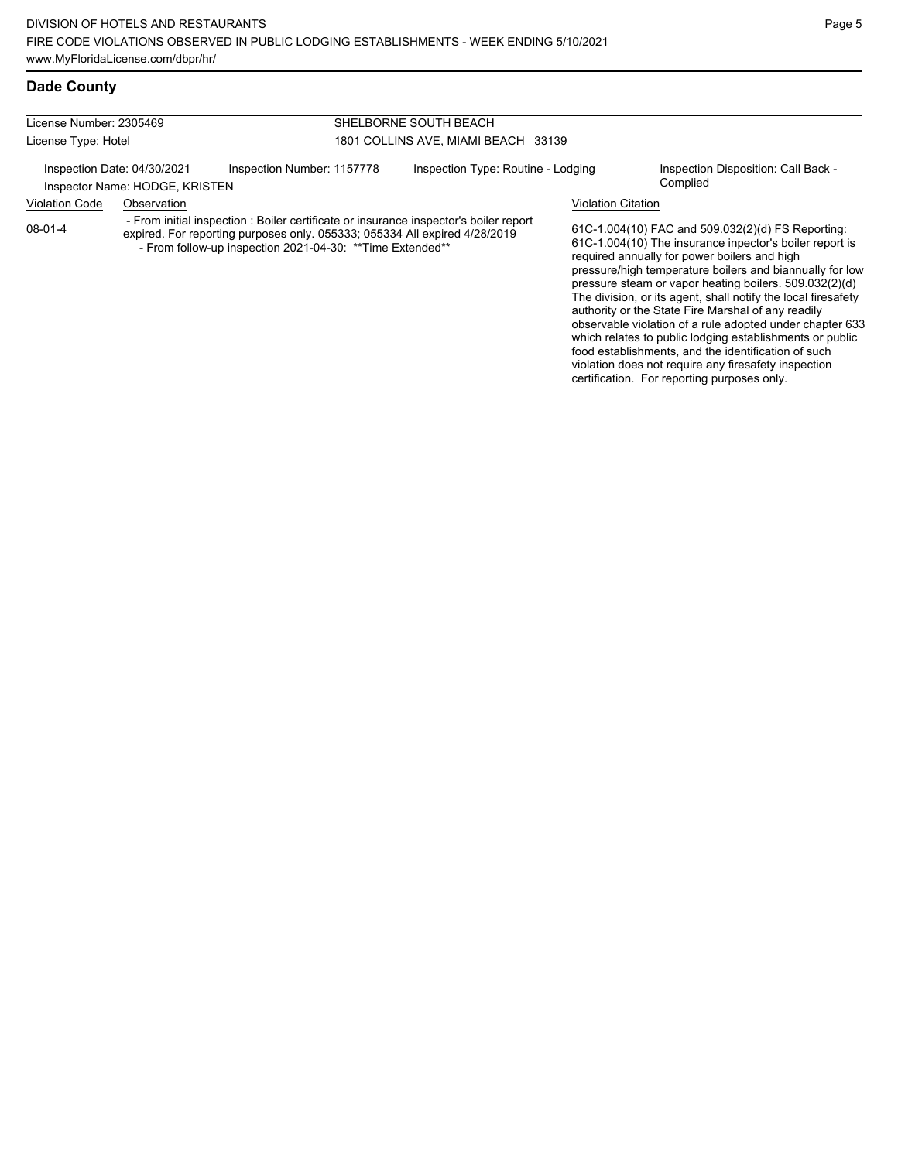#### License Number: 2305469 License Type: Hotel SHELBORNE SOUTH BEACH 1801 COLLINS AVE, MIAMI BEACH 33139 Inspection Date: 04/30/2021 Inspection Number: 1157778 Inspection Type: Routine - Lodging Inspection Disposition: Call Back -Inspector Name: HODGE, KRISTEN Violation Code Observation Violation Citation 61C-1.004(10) FAC and 509.032(2)(d) FS Reporting: 61C-1.004(10) The insurance inpector's boiler report is required annually for power boilers and high pressure/high temperature boilers and biannually for low pressure steam or vapor heating boilers. 509.032(2)(d) The division, or its agent, shall notify the local firesafety authority or the State Fire Marshal of any readily observable violation of a rule adopted under chapter 633 08-01-4 - From initial inspection : Boiler certificate or insurance inspector's boiler report expired. For reporting purposes only. 055333; 055334 All expired 4/28/2019 - From follow-up inspection 2021-04-30: \*\*Time Extended\*\*

which relates to public lodging establishments or public food establishments, and the identification of such violation does not require any firesafety inspection certification. For reporting purposes only.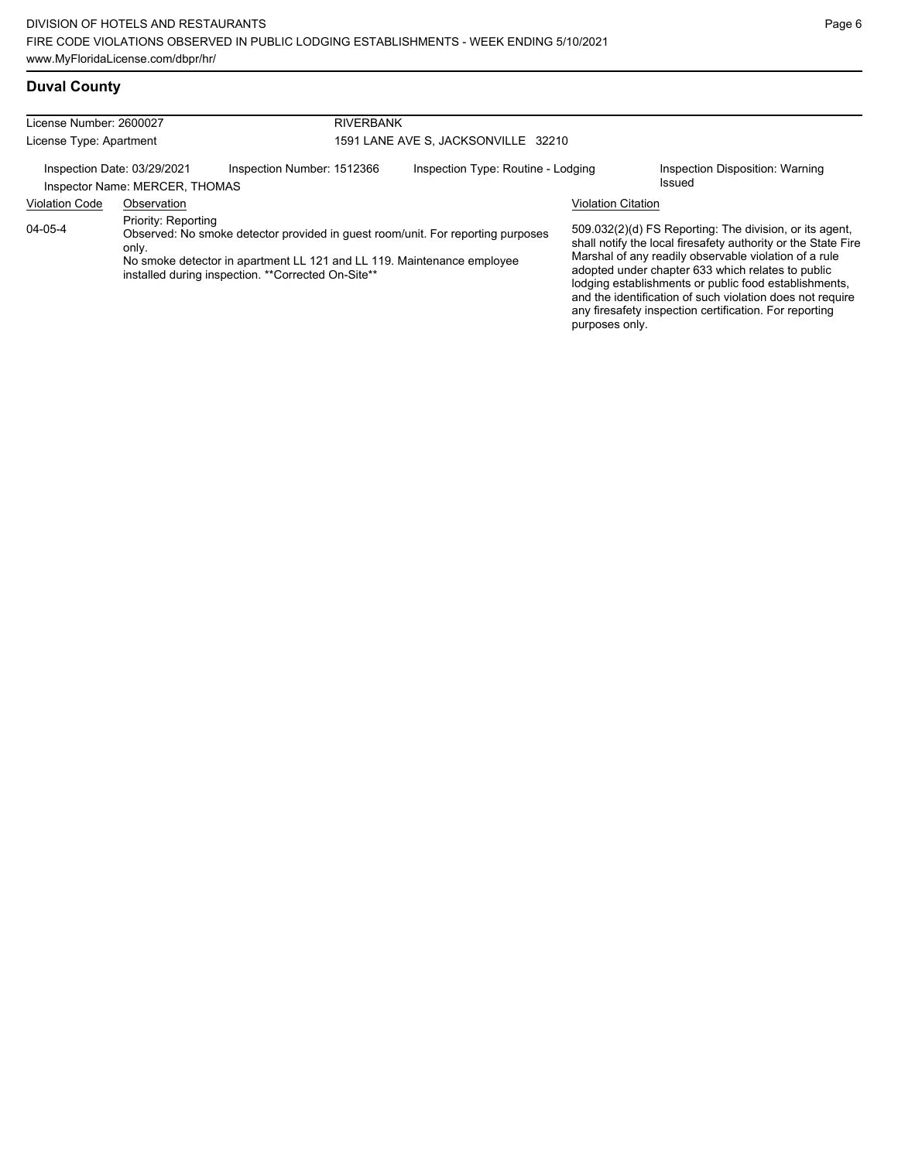| License Number: 2600027 |                                                               | <b>RIVERBANK</b>                                                                                                                                                                                                |                                     |                           |                                                                                                                                                                                                                                                                                                                                                                                                                        |  |  |
|-------------------------|---------------------------------------------------------------|-----------------------------------------------------------------------------------------------------------------------------------------------------------------------------------------------------------------|-------------------------------------|---------------------------|------------------------------------------------------------------------------------------------------------------------------------------------------------------------------------------------------------------------------------------------------------------------------------------------------------------------------------------------------------------------------------------------------------------------|--|--|
| License Type: Apartment |                                                               |                                                                                                                                                                                                                 | 1591 LANE AVE S, JACKSONVILLE 32210 |                           |                                                                                                                                                                                                                                                                                                                                                                                                                        |  |  |
|                         | Inspection Date: 03/29/2021<br>Inspector Name: MERCER, THOMAS | Inspection Number: 1512366                                                                                                                                                                                      | Inspection Type: Routine - Lodging  |                           | Inspection Disposition: Warning<br>Issued                                                                                                                                                                                                                                                                                                                                                                              |  |  |
| <b>Violation Code</b>   | Observation                                                   |                                                                                                                                                                                                                 |                                     | <b>Violation Citation</b> |                                                                                                                                                                                                                                                                                                                                                                                                                        |  |  |
| $04 - 05 - 4$           | Priority: Reporting<br>only.                                  | Observed: No smoke detector provided in guest room/unit. For reporting purposes<br>No smoke detector in apartment LL 121 and LL 119. Maintenance employee<br>installed during inspection. **Corrected On-Site** |                                     | purposes only.            | 509.032(2)(d) FS Reporting: The division, or its agent,<br>shall notify the local firesafety authority or the State Fire<br>Marshal of any readily observable violation of a rule<br>adopted under chapter 633 which relates to public<br>lodging establishments or public food establishments,<br>and the identification of such violation does not require<br>any firesafety inspection certification. For reporting |  |  |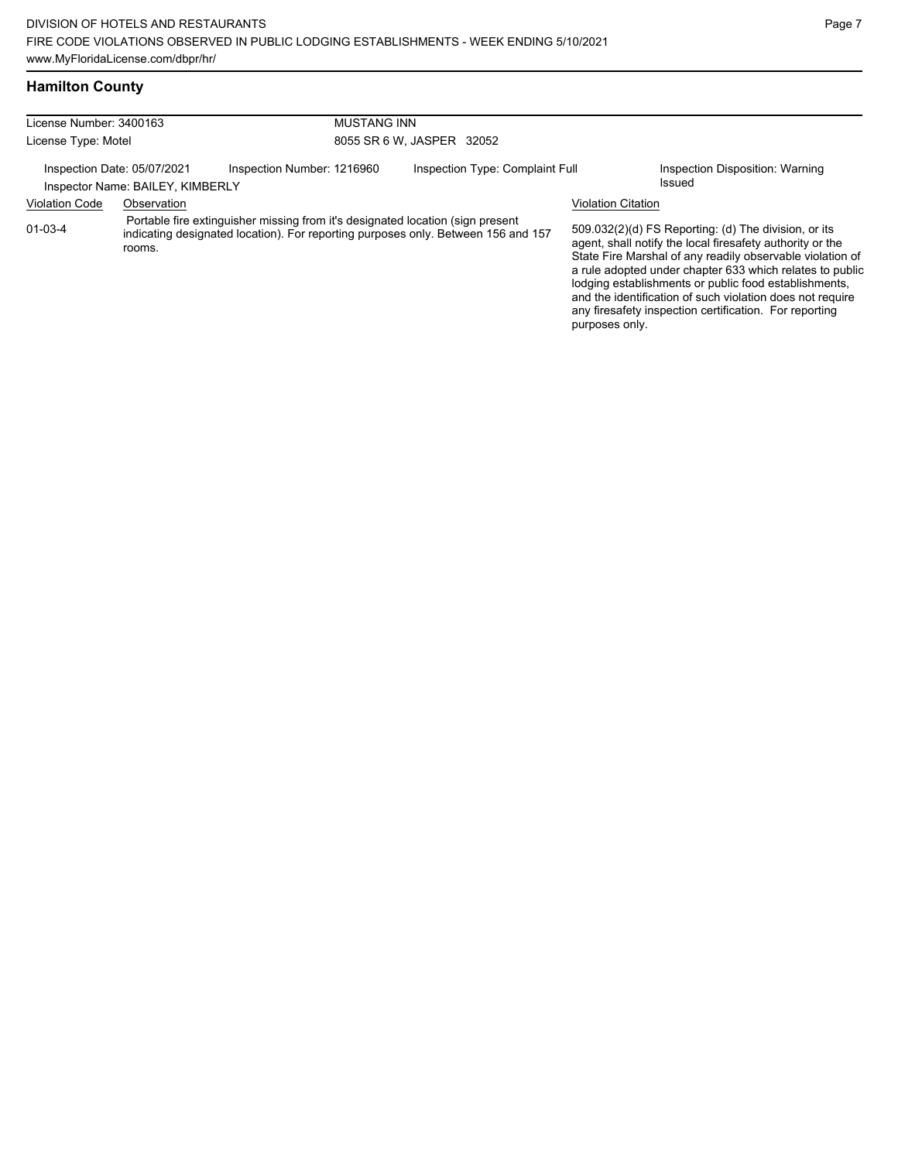any firesafety inspection certification. For reporting

purposes only.

## **Hamilton County**

| License Number: 3400163                                         |             |                                                                                                                                                                     | <b>MUSTANG INN</b><br>8055 SR 6 W, JASPER 32052 |                           |                                                                                                                                                                                                                                                                                                                                                                  |  |  |
|-----------------------------------------------------------------|-------------|---------------------------------------------------------------------------------------------------------------------------------------------------------------------|-------------------------------------------------|---------------------------|------------------------------------------------------------------------------------------------------------------------------------------------------------------------------------------------------------------------------------------------------------------------------------------------------------------------------------------------------------------|--|--|
| License Type: Motel                                             |             |                                                                                                                                                                     |                                                 |                           |                                                                                                                                                                                                                                                                                                                                                                  |  |  |
| Inspection Date: 05/07/2021<br>Inspector Name: BAILEY, KIMBERLY |             | Inspection Number: 1216960                                                                                                                                          | Inspection Type: Complaint Full                 |                           | Inspection Disposition: Warning<br>Issued                                                                                                                                                                                                                                                                                                                        |  |  |
| <b>Violation Code</b>                                           | Observation |                                                                                                                                                                     |                                                 | <b>Violation Citation</b> |                                                                                                                                                                                                                                                                                                                                                                  |  |  |
| $01 - 03 - 4$                                                   | rooms.      | Portable fire extinguisher missing from it's designated location (sign present<br>indicating designated location). For reporting purposes only. Between 156 and 157 |                                                 |                           | 509.032(2)(d) FS Reporting: (d) The division, or its<br>agent, shall notify the local firesafety authority or the<br>State Fire Marshal of any readily observable violation of<br>a rule adopted under chapter 633 which relates to public<br>lodging establishments or public food establishments,<br>and the identification of such violation does not require |  |  |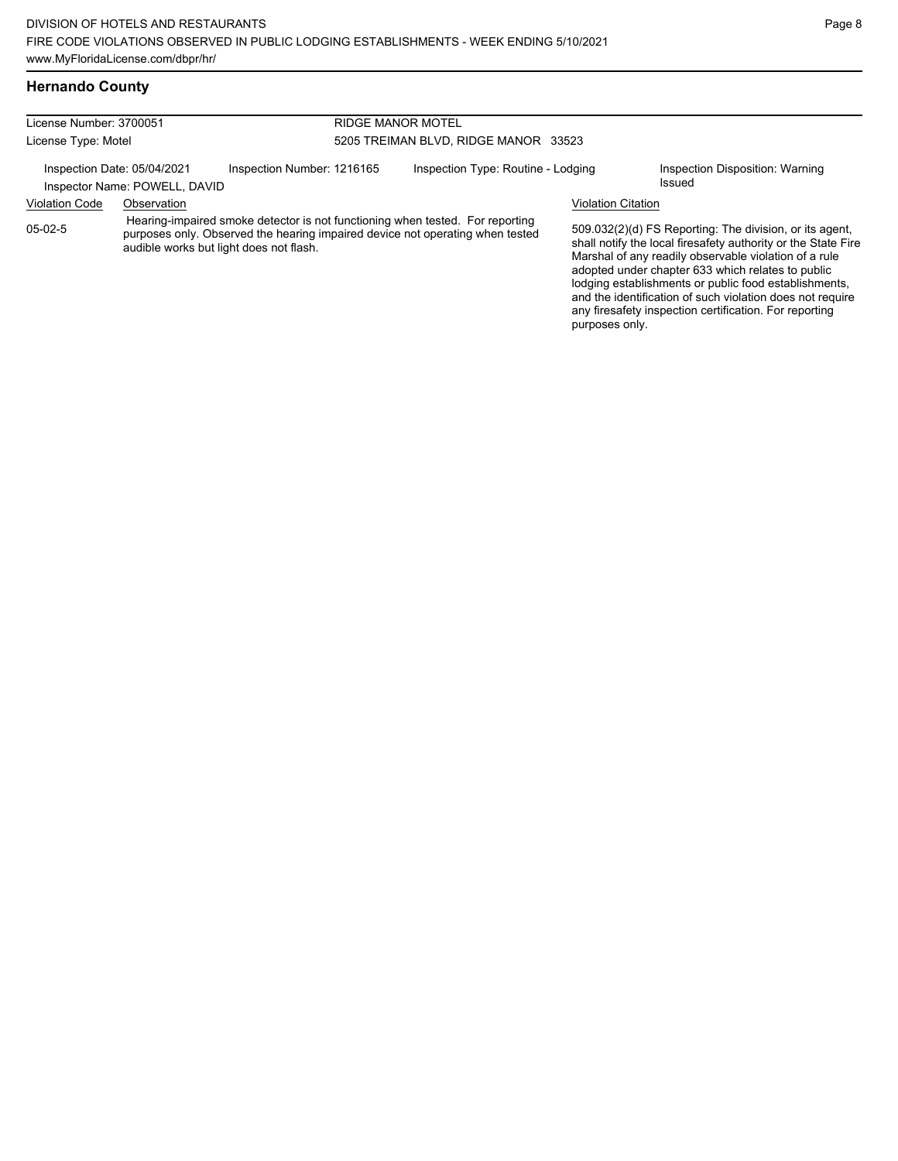| License Number: 3700051 |                                                              |                                                                                                                                                                                                           | <b>RIDGE MANOR MOTEL</b>             |  |                                                                                                                                                                                                                                                                                                                                                                                                                        |  |  |
|-------------------------|--------------------------------------------------------------|-----------------------------------------------------------------------------------------------------------------------------------------------------------------------------------------------------------|--------------------------------------|--|------------------------------------------------------------------------------------------------------------------------------------------------------------------------------------------------------------------------------------------------------------------------------------------------------------------------------------------------------------------------------------------------------------------------|--|--|
| License Type: Motel     |                                                              |                                                                                                                                                                                                           | 5205 TREIMAN BLVD, RIDGE MANOR 33523 |  |                                                                                                                                                                                                                                                                                                                                                                                                                        |  |  |
|                         | Inspection Date: 05/04/2021<br>Inspector Name: POWELL, DAVID | Inspection Number: 1216165                                                                                                                                                                                | Inspection Type: Routine - Lodging   |  | Inspection Disposition: Warning<br><b>Issued</b>                                                                                                                                                                                                                                                                                                                                                                       |  |  |
| <b>Violation Code</b>   | Observation                                                  |                                                                                                                                                                                                           | <b>Violation Citation</b>            |  |                                                                                                                                                                                                                                                                                                                                                                                                                        |  |  |
| $05-02-5$               |                                                              | Hearing-impaired smoke detector is not functioning when tested. For reporting<br>purposes only. Observed the hearing impaired device not operating when tested<br>audible works but light does not flash. |                                      |  | 509.032(2)(d) FS Reporting: The division, or its agent,<br>shall notify the local firesafety authority or the State Fire<br>Marshal of any readily observable violation of a rule<br>adopted under chapter 633 which relates to public<br>lodging establishments or public food establishments,<br>and the identification of such violation does not require<br>any firesafety inspection certification. For reporting |  |  |

purposes only.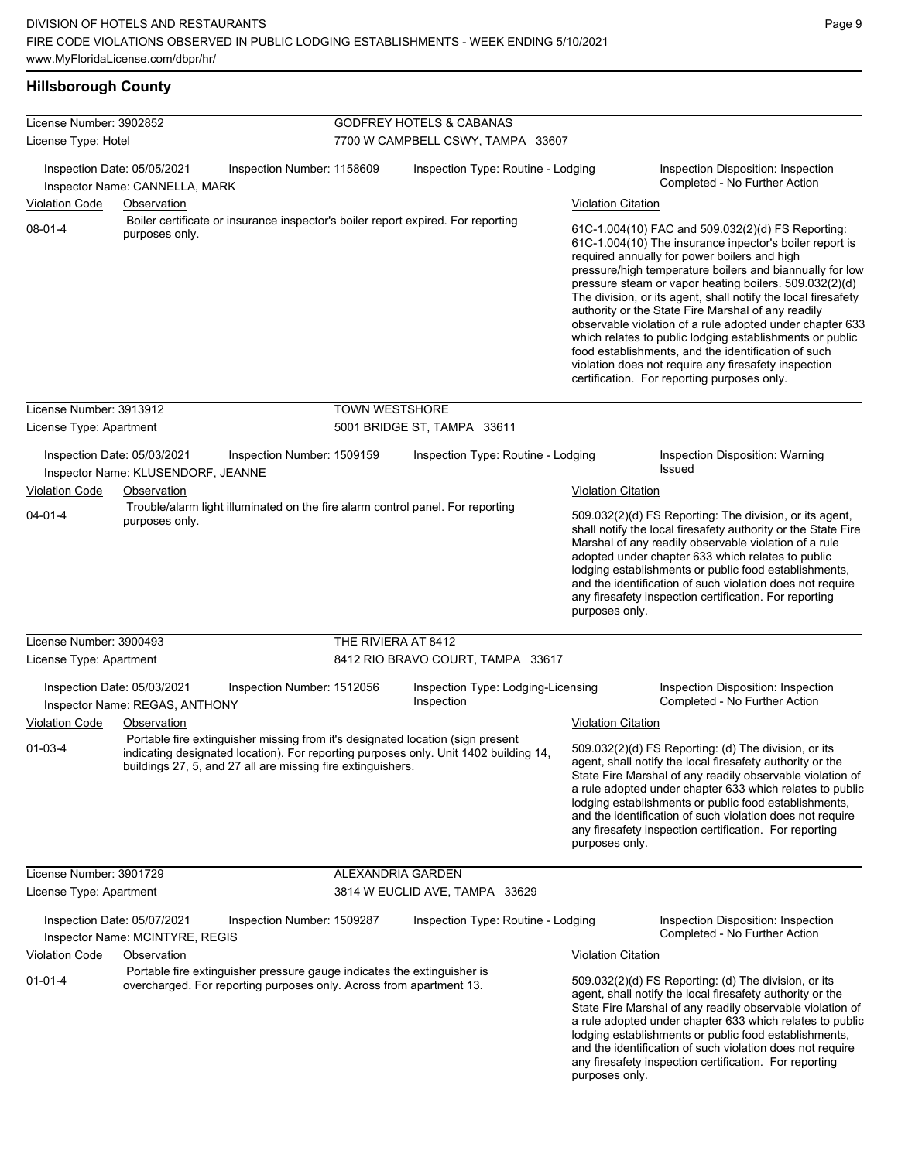#### **Hillsborough County**

| License Number: 3902852     |                                                                                                                                                                                                                                       | <b>GODFREY HOTELS &amp; CABANAS</b> |                                                  |                           |                                                                                                                                                                                                                                                                                                                                                                                                                                                                                                                                                                                                                                                                                                 |  |  |
|-----------------------------|---------------------------------------------------------------------------------------------------------------------------------------------------------------------------------------------------------------------------------------|-------------------------------------|--------------------------------------------------|---------------------------|-------------------------------------------------------------------------------------------------------------------------------------------------------------------------------------------------------------------------------------------------------------------------------------------------------------------------------------------------------------------------------------------------------------------------------------------------------------------------------------------------------------------------------------------------------------------------------------------------------------------------------------------------------------------------------------------------|--|--|
| License Type: Hotel         |                                                                                                                                                                                                                                       |                                     | 7700 W CAMPBELL CSWY, TAMPA 33607                |                           |                                                                                                                                                                                                                                                                                                                                                                                                                                                                                                                                                                                                                                                                                                 |  |  |
|                             | Inspection Date: 05/05/2021<br>Inspection Number: 1158609<br>Inspector Name: CANNELLA, MARK                                                                                                                                           |                                     | Inspection Type: Routine - Lodging               |                           | Inspection Disposition: Inspection<br>Completed - No Further Action                                                                                                                                                                                                                                                                                                                                                                                                                                                                                                                                                                                                                             |  |  |
| Violation Code              | Observation                                                                                                                                                                                                                           |                                     |                                                  | <b>Violation Citation</b> |                                                                                                                                                                                                                                                                                                                                                                                                                                                                                                                                                                                                                                                                                                 |  |  |
| $08 - 01 - 4$               | Boiler certificate or insurance inspector's boiler report expired. For reporting<br>purposes only.                                                                                                                                    |                                     |                                                  |                           | 61C-1.004(10) FAC and 509.032(2)(d) FS Reporting:<br>61C-1.004(10) The insurance inpector's boiler report is<br>required annually for power boilers and high<br>pressure/high temperature boilers and biannually for low<br>pressure steam or vapor heating boilers. 509.032(2)(d)<br>The division, or its agent, shall notify the local firesafety<br>authority or the State Fire Marshal of any readily<br>observable violation of a rule adopted under chapter 633<br>which relates to public lodging establishments or public<br>food establishments, and the identification of such<br>violation does not require any firesafety inspection<br>certification. For reporting purposes only. |  |  |
| License Number: 3913912     |                                                                                                                                                                                                                                       | <b>TOWN WESTSHORE</b>               |                                                  |                           |                                                                                                                                                                                                                                                                                                                                                                                                                                                                                                                                                                                                                                                                                                 |  |  |
| License Type: Apartment     |                                                                                                                                                                                                                                       |                                     | 5001 BRIDGE ST, TAMPA 33611                      |                           |                                                                                                                                                                                                                                                                                                                                                                                                                                                                                                                                                                                                                                                                                                 |  |  |
|                             | Inspection Date: 05/03/2021<br>Inspection Number: 1509159<br>Inspector Name: KLUSENDORF, JEANNE                                                                                                                                       |                                     | Inspection Type: Routine - Lodging               |                           | Inspection Disposition: Warning<br>Issued                                                                                                                                                                                                                                                                                                                                                                                                                                                                                                                                                                                                                                                       |  |  |
| <b>Violation Code</b>       | Observation                                                                                                                                                                                                                           |                                     |                                                  | <b>Violation Citation</b> |                                                                                                                                                                                                                                                                                                                                                                                                                                                                                                                                                                                                                                                                                                 |  |  |
| $04 - 01 - 4$               | Trouble/alarm light illuminated on the fire alarm control panel. For reporting<br>purposes only.                                                                                                                                      |                                     |                                                  |                           | 509.032(2)(d) FS Reporting: The division, or its agent,<br>shall notify the local firesafety authority or the State Fire<br>Marshal of any readily observable violation of a rule<br>adopted under chapter 633 which relates to public<br>lodging establishments or public food establishments,<br>and the identification of such violation does not require<br>any firesafety inspection certification. For reporting<br>purposes only.                                                                                                                                                                                                                                                        |  |  |
| License Number: 3900493     |                                                                                                                                                                                                                                       | THE RIVIERA AT 8412                 |                                                  |                           |                                                                                                                                                                                                                                                                                                                                                                                                                                                                                                                                                                                                                                                                                                 |  |  |
| License Type: Apartment     |                                                                                                                                                                                                                                       |                                     | 8412 RIO BRAVO COURT, TAMPA 33617                |                           |                                                                                                                                                                                                                                                                                                                                                                                                                                                                                                                                                                                                                                                                                                 |  |  |
|                             | Inspection Date: 05/03/2021<br>Inspection Number: 1512056<br>Inspector Name: REGAS, ANTHONY                                                                                                                                           |                                     | Inspection Type: Lodging-Licensing<br>Inspection |                           | Inspection Disposition: Inspection<br>Completed - No Further Action                                                                                                                                                                                                                                                                                                                                                                                                                                                                                                                                                                                                                             |  |  |
| Violation Code              | Observation                                                                                                                                                                                                                           |                                     |                                                  | <b>Violation Citation</b> |                                                                                                                                                                                                                                                                                                                                                                                                                                                                                                                                                                                                                                                                                                 |  |  |
| $01 - 03 - 4$               | Portable fire extinguisher missing from it's designated location (sign present<br>indicating designated location). For reporting purposes only. Unit 1402 building 14,<br>buildings 27, 5, and 27 all are missing fire extinguishers. |                                     |                                                  | purposes only.            | 509.032(2)(d) FS Reporting: (d) The division, or its<br>agent, shall notify the local firesafety authority or the<br>State Fire Marshal of any readily observable violation of<br>a rule adopted under chapter 633 which relates to public<br>lodging establishments or public food establishments,<br>and the identification of such violation does not require<br>any firesafety inspection certification. For reporting                                                                                                                                                                                                                                                                      |  |  |
| License Number: 3901729     |                                                                                                                                                                                                                                       | ALEXANDRIA GARDEN                   |                                                  |                           |                                                                                                                                                                                                                                                                                                                                                                                                                                                                                                                                                                                                                                                                                                 |  |  |
| License Type: Apartment     |                                                                                                                                                                                                                                       |                                     | 3814 W EUCLID AVE, TAMPA 33629                   |                           |                                                                                                                                                                                                                                                                                                                                                                                                                                                                                                                                                                                                                                                                                                 |  |  |
| Inspection Date: 05/07/2021 | Inspection Number: 1509287<br>Inspector Name: MCINTYRE, REGIS                                                                                                                                                                         |                                     | Inspection Type: Routine - Lodging               |                           | Inspection Disposition: Inspection<br>Completed - No Further Action                                                                                                                                                                                                                                                                                                                                                                                                                                                                                                                                                                                                                             |  |  |
| <b>Violation Code</b>       | Observation                                                                                                                                                                                                                           |                                     |                                                  | <b>Violation Citation</b> |                                                                                                                                                                                                                                                                                                                                                                                                                                                                                                                                                                                                                                                                                                 |  |  |
| $01 - 01 - 4$               | Portable fire extinguisher pressure gauge indicates the extinguisher is<br>overcharged. For reporting purposes only. Across from apartment 13.                                                                                        |                                     |                                                  | purposes only.            | 509.032(2)(d) FS Reporting: (d) The division, or its<br>agent, shall notify the local firesafety authority or the<br>State Fire Marshal of any readily observable violation of<br>a rule adopted under chapter 633 which relates to public<br>lodging establishments or public food establishments,<br>and the identification of such violation does not require<br>any firesafety inspection certification. For reporting                                                                                                                                                                                                                                                                      |  |  |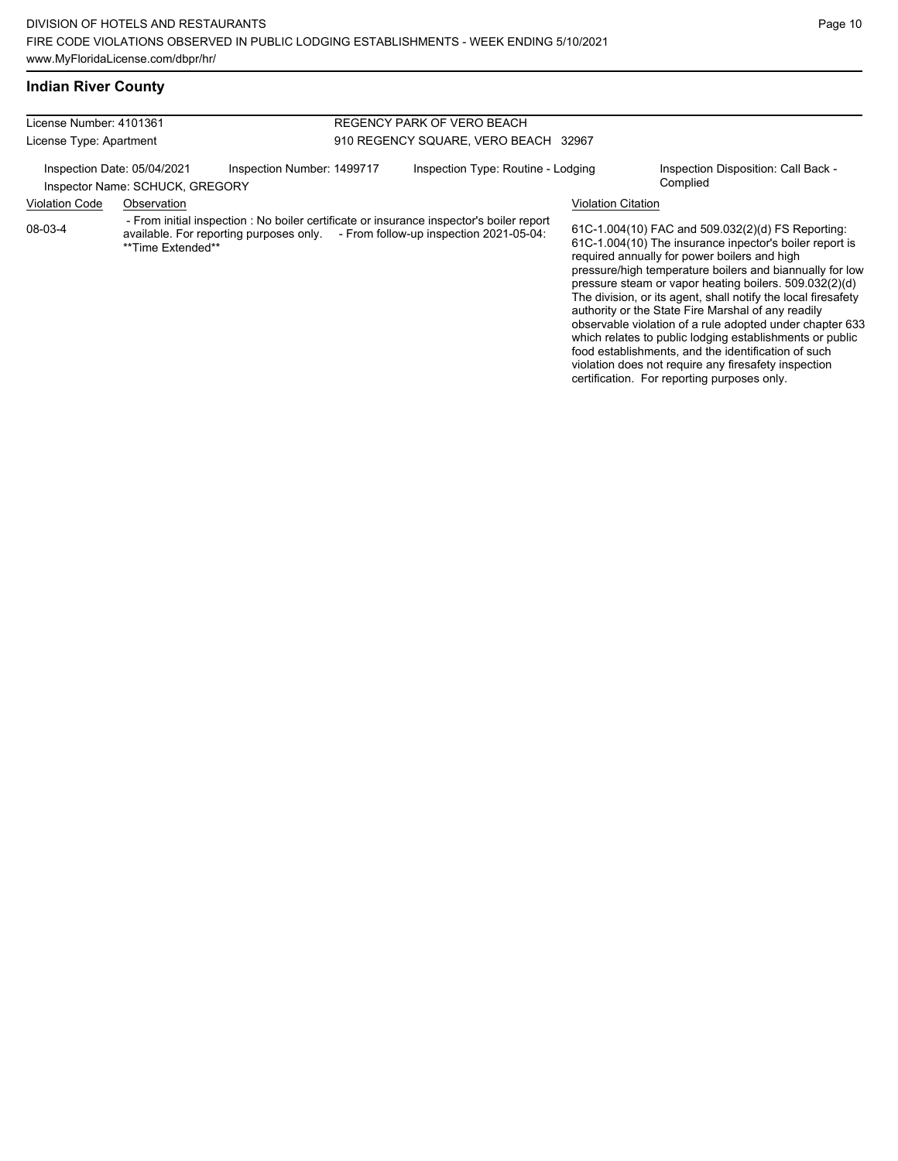violation does not require any firesafety inspection certification. For reporting purposes only.

#### **Indian River County**

| License Number: 4101361                                        |                   |                            |                                      | REGENCY PARK OF VERO BEACH                                                                                                                                                  |                           |                                                                                                                                                                                                                                                                                                                                                                                                                                                                                                                                                                                          |
|----------------------------------------------------------------|-------------------|----------------------------|--------------------------------------|-----------------------------------------------------------------------------------------------------------------------------------------------------------------------------|---------------------------|------------------------------------------------------------------------------------------------------------------------------------------------------------------------------------------------------------------------------------------------------------------------------------------------------------------------------------------------------------------------------------------------------------------------------------------------------------------------------------------------------------------------------------------------------------------------------------------|
| License Type: Apartment                                        |                   |                            | 910 REGENCY SQUARE, VERO BEACH 32967 |                                                                                                                                                                             |                           |                                                                                                                                                                                                                                                                                                                                                                                                                                                                                                                                                                                          |
| Inspection Date: 05/04/2021<br>Inspector Name: SCHUCK, GREGORY |                   | Inspection Number: 1499717 |                                      | Inspection Type: Routine - Lodging                                                                                                                                          |                           | Inspection Disposition: Call Back -<br>Complied                                                                                                                                                                                                                                                                                                                                                                                                                                                                                                                                          |
| <b>Violation Code</b>                                          | Observation       |                            |                                      |                                                                                                                                                                             | <b>Violation Citation</b> |                                                                                                                                                                                                                                                                                                                                                                                                                                                                                                                                                                                          |
| 08-03-4                                                        | **Time Extended** |                            |                                      | - From initial inspection : No boiler certificate or insurance inspector's boiler report<br>available. For reporting purposes only. - From follow-up inspection 2021-05-04: |                           | 61C-1.004(10) FAC and 509.032(2)(d) FS Reporting:<br>61C-1.004(10) The insurance inpector's boiler report is<br>required annually for power boilers and high<br>pressure/high temperature boilers and biannually for low<br>pressure steam or vapor heating boilers. 509.032(2)(d)<br>The division, or its agent, shall notify the local firesafety<br>authority or the State Fire Marshal of any readily<br>observable violation of a rule adopted under chapter 633<br>which relates to public lodging establishments or public<br>food establishments, and the identification of such |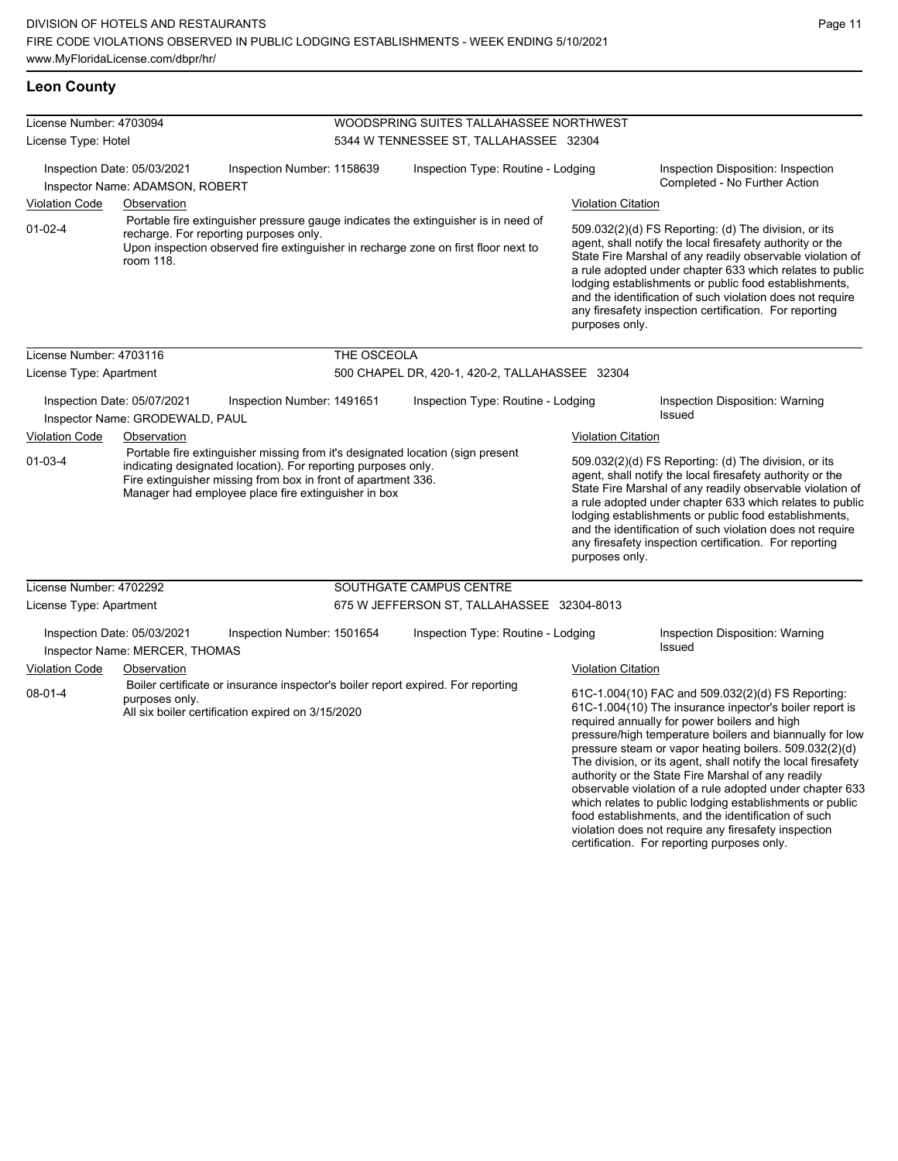#### **Leon County**

| License Number: 4703094                |                                                                                                                                                                                                                                                                         |                            | WOODSPRING SUITES TALLAHASSEE NORTHWEST |                                                                                                                                                                                                                |                                                                                                                                                                                                                                                                                                                                                                                                                                                                       |                                                                                                                                                                                                                                                                                                                                                                                                                                                                                                   |  |  |
|----------------------------------------|-------------------------------------------------------------------------------------------------------------------------------------------------------------------------------------------------------------------------------------------------------------------------|----------------------------|-----------------------------------------|----------------------------------------------------------------------------------------------------------------------------------------------------------------------------------------------------------------|-----------------------------------------------------------------------------------------------------------------------------------------------------------------------------------------------------------------------------------------------------------------------------------------------------------------------------------------------------------------------------------------------------------------------------------------------------------------------|---------------------------------------------------------------------------------------------------------------------------------------------------------------------------------------------------------------------------------------------------------------------------------------------------------------------------------------------------------------------------------------------------------------------------------------------------------------------------------------------------|--|--|
| License Type: Hotel                    |                                                                                                                                                                                                                                                                         |                            |                                         | 5344 W TENNESSEE ST, TALLAHASSEE 32304                                                                                                                                                                         |                                                                                                                                                                                                                                                                                                                                                                                                                                                                       |                                                                                                                                                                                                                                                                                                                                                                                                                                                                                                   |  |  |
| <b>Violation Code</b><br>$01 - 02 - 4$ | Inspection Date: 05/03/2021<br>Inspector Name: ADAMSON, ROBERT<br>Observation<br>recharge. For reporting purposes only.<br>room 118.                                                                                                                                    | Inspection Number: 1158639 |                                         | Inspection Type: Routine - Lodging<br>Portable fire extinguisher pressure gauge indicates the extinguisher is in need of<br>Upon inspection observed fire extinguisher in recharge zone on first floor next to | <b>Violation Citation</b><br>purposes only.                                                                                                                                                                                                                                                                                                                                                                                                                           | Inspection Disposition: Inspection<br>Completed - No Further Action<br>509.032(2)(d) FS Reporting: (d) The division, or its<br>agent, shall notify the local firesafety authority or the<br>State Fire Marshal of any readily observable violation of<br>a rule adopted under chapter 633 which relates to public<br>lodging establishments or public food establishments,<br>and the identification of such violation does not require<br>any firesafety inspection certification. For reporting |  |  |
| License Number: 4703116                |                                                                                                                                                                                                                                                                         |                            | THE OSCEOLA                             |                                                                                                                                                                                                                |                                                                                                                                                                                                                                                                                                                                                                                                                                                                       |                                                                                                                                                                                                                                                                                                                                                                                                                                                                                                   |  |  |
|                                        |                                                                                                                                                                                                                                                                         |                            |                                         |                                                                                                                                                                                                                |                                                                                                                                                                                                                                                                                                                                                                                                                                                                       |                                                                                                                                                                                                                                                                                                                                                                                                                                                                                                   |  |  |
| License Type: Apartment                |                                                                                                                                                                                                                                                                         |                            |                                         | 500 CHAPEL DR, 420-1, 420-2, TALLAHASSEE 32304                                                                                                                                                                 |                                                                                                                                                                                                                                                                                                                                                                                                                                                                       |                                                                                                                                                                                                                                                                                                                                                                                                                                                                                                   |  |  |
|                                        | Inspection Date: 05/07/2021<br>Inspector Name: GRODEWALD, PAUL                                                                                                                                                                                                          | Inspection Number: 1491651 |                                         | Inspection Type: Routine - Lodging                                                                                                                                                                             |                                                                                                                                                                                                                                                                                                                                                                                                                                                                       | Inspection Disposition: Warning<br>Issued                                                                                                                                                                                                                                                                                                                                                                                                                                                         |  |  |
| Violation Code                         | Observation                                                                                                                                                                                                                                                             |                            |                                         |                                                                                                                                                                                                                | <b>Violation Citation</b>                                                                                                                                                                                                                                                                                                                                                                                                                                             |                                                                                                                                                                                                                                                                                                                                                                                                                                                                                                   |  |  |
| $01 - 03 - 4$                          | Portable fire extinguisher missing from it's designated location (sign present<br>indicating designated location). For reporting purposes only.<br>Fire extinguisher missing from box in front of apartment 336.<br>Manager had employee place fire extinguisher in box |                            |                                         |                                                                                                                                                                                                                | purposes only.                                                                                                                                                                                                                                                                                                                                                                                                                                                        | 509.032(2)(d) FS Reporting: (d) The division, or its<br>agent, shall notify the local firesafety authority or the<br>State Fire Marshal of any readily observable violation of<br>a rule adopted under chapter 633 which relates to public<br>lodging establishments or public food establishments,<br>and the identification of such violation does not require<br>any firesafety inspection certification. For reporting                                                                        |  |  |
| License Number: 4702292                |                                                                                                                                                                                                                                                                         |                            |                                         | SOUTHGATE CAMPUS CENTRE                                                                                                                                                                                        |                                                                                                                                                                                                                                                                                                                                                                                                                                                                       |                                                                                                                                                                                                                                                                                                                                                                                                                                                                                                   |  |  |
| License Type: Apartment                |                                                                                                                                                                                                                                                                         |                            |                                         | 675 W JEFFERSON ST, TALLAHASSEE 32304-8013                                                                                                                                                                     |                                                                                                                                                                                                                                                                                                                                                                                                                                                                       |                                                                                                                                                                                                                                                                                                                                                                                                                                                                                                   |  |  |
|                                        | Inspection Date: 05/03/2021<br>Inspector Name: MERCER, THOMAS                                                                                                                                                                                                           | Inspection Number: 1501654 |                                         | Inspection Type: Routine - Lodging                                                                                                                                                                             |                                                                                                                                                                                                                                                                                                                                                                                                                                                                       | Inspection Disposition: Warning<br>Issued                                                                                                                                                                                                                                                                                                                                                                                                                                                         |  |  |
| <b>Violation Code</b>                  | Observation                                                                                                                                                                                                                                                             |                            |                                         |                                                                                                                                                                                                                | <b>Violation Citation</b>                                                                                                                                                                                                                                                                                                                                                                                                                                             |                                                                                                                                                                                                                                                                                                                                                                                                                                                                                                   |  |  |
| $08 - 01 - 4$                          | Boiler certificate or insurance inspector's boiler report expired. For reporting<br>purposes only.<br>All six boiler certification expired on 3/15/2020                                                                                                                 |                            |                                         |                                                                                                                                                                                                                | 61C-1.004(10) FAC and 509.032(2)(d) FS Reporting:<br>61C-1.004(10) The insurance inpector's boiler report is<br>required annually for power boilers and high<br>pressure/high temperature boilers and biannually for low<br>pressure steam or vapor heating boilers. 509.032(2)(d)<br>The division, or its agent, shall notify the local firesafety<br>authority or the State Fire Marshal of any readily<br>observable violation of a rule adopted under chapter 633 |                                                                                                                                                                                                                                                                                                                                                                                                                                                                                                   |  |  |

which relates to public lodging establishments or public food establishments, and the identification of such violation does not require any firesafety inspection certification. For reporting purposes only.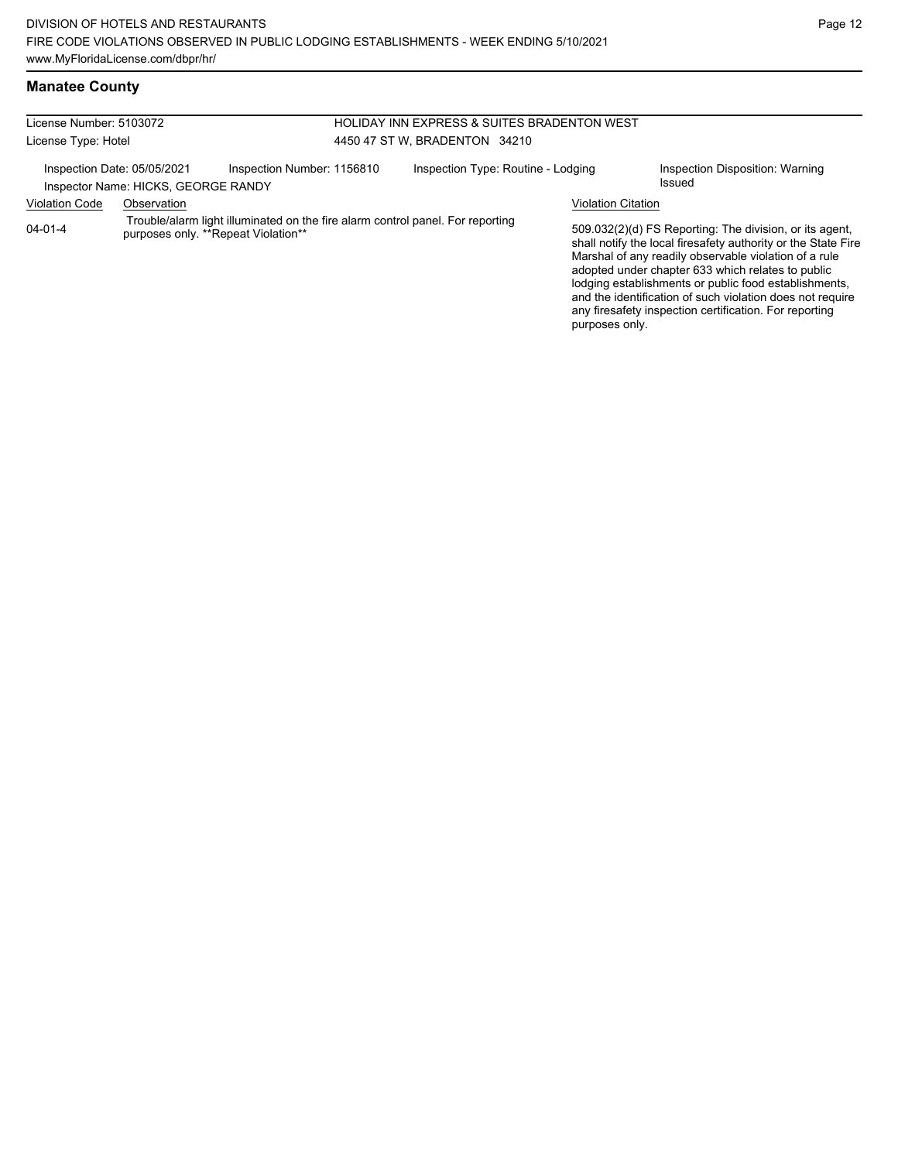## **Manatee County**

| License Number: 5103072     |                                     |                                                                                                                       | HOLIDAY INN EXPRESS & SUITES BRADENTON WEST |                                    |  |                           |                                                                                                                                                                                                                                                                                                                                                                                                                        |
|-----------------------------|-------------------------------------|-----------------------------------------------------------------------------------------------------------------------|---------------------------------------------|------------------------------------|--|---------------------------|------------------------------------------------------------------------------------------------------------------------------------------------------------------------------------------------------------------------------------------------------------------------------------------------------------------------------------------------------------------------------------------------------------------------|
| License Type: Hotel         |                                     |                                                                                                                       | 4450 47 ST W. BRADENTON 34210               |                                    |  |                           |                                                                                                                                                                                                                                                                                                                                                                                                                        |
| Inspection Date: 05/05/2021 | Inspector Name: HICKS, GEORGE RANDY | Inspection Number: 1156810                                                                                            |                                             | Inspection Type: Routine - Lodging |  |                           | Inspection Disposition: Warning<br>Issued                                                                                                                                                                                                                                                                                                                                                                              |
| <b>Violation Code</b>       | Observation                         |                                                                                                                       |                                             |                                    |  | <b>Violation Citation</b> |                                                                                                                                                                                                                                                                                                                                                                                                                        |
| $04 - 01 - 4$               |                                     | Trouble/alarm light illuminated on the fire alarm control panel. For reporting<br>purposes only. **Repeat Violation** |                                             |                                    |  | purposes only.            | 509.032(2)(d) FS Reporting: The division, or its agent,<br>shall notify the local firesafety authority or the State Fire<br>Marshal of any readily observable violation of a rule<br>adopted under chapter 633 which relates to public<br>lodging establishments or public food establishments,<br>and the identification of such violation does not require<br>any firesafety inspection certification. For reporting |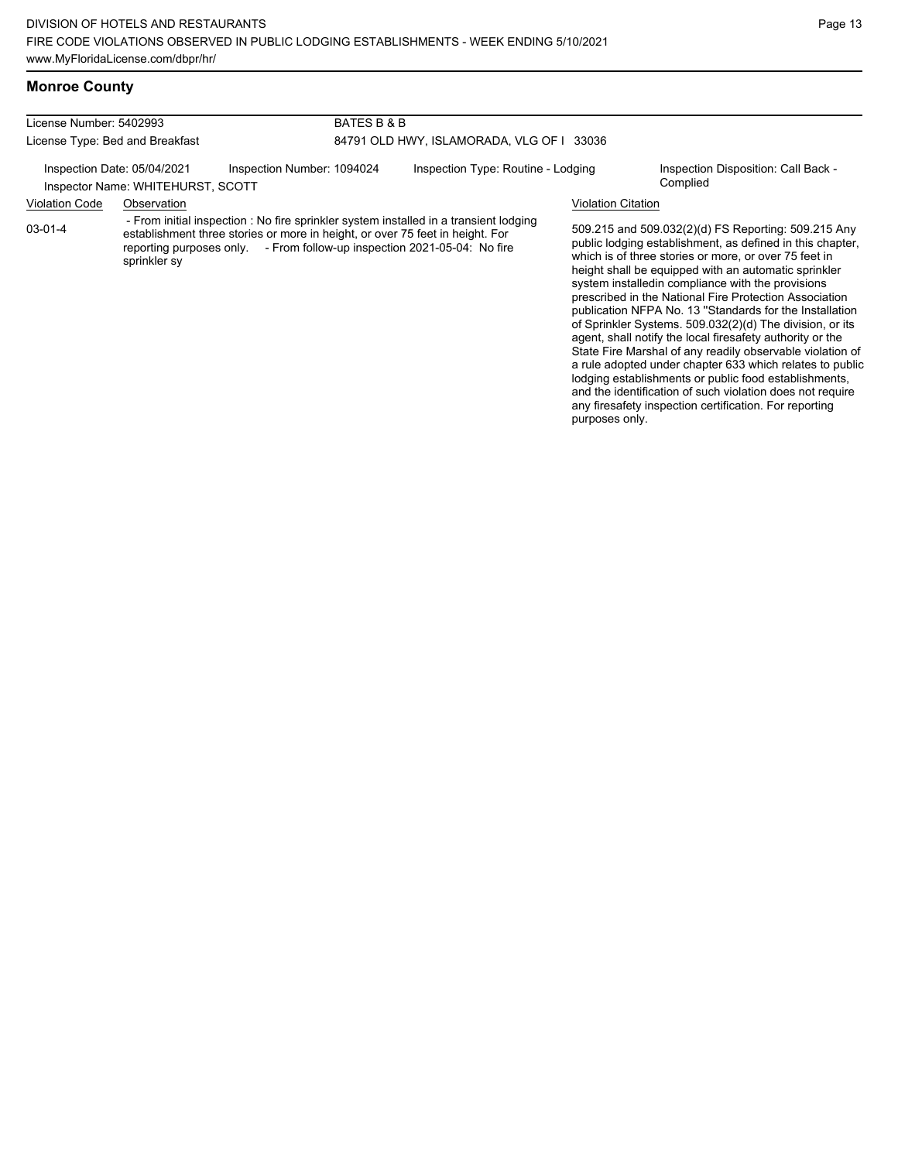## **Monroe County**

| License Number: 5402993                                                                        |              |                                                                                                                                                          | BATES B & B                               |                                                                                       |                                                 |                                                                                                                                                                                                                                                                                                                                                                                                                                                                                                                                       |  |
|------------------------------------------------------------------------------------------------|--------------|----------------------------------------------------------------------------------------------------------------------------------------------------------|-------------------------------------------|---------------------------------------------------------------------------------------|-------------------------------------------------|---------------------------------------------------------------------------------------------------------------------------------------------------------------------------------------------------------------------------------------------------------------------------------------------------------------------------------------------------------------------------------------------------------------------------------------------------------------------------------------------------------------------------------------|--|
| License Type: Bed and Breakfast                                                                |              |                                                                                                                                                          | 84791 OLD HWY, ISLAMORADA, VLG OF I 33036 |                                                                                       |                                                 |                                                                                                                                                                                                                                                                                                                                                                                                                                                                                                                                       |  |
| Inspection Date: 05/04/2021<br>Inspection Number: 1094024<br>Inspector Name: WHITEHURST, SCOTT |              |                                                                                                                                                          | Inspection Type: Routine - Lodging        |                                                                                       | Inspection Disposition: Call Back -<br>Complied |                                                                                                                                                                                                                                                                                                                                                                                                                                                                                                                                       |  |
| <b>Violation Code</b>                                                                          | Observation  |                                                                                                                                                          |                                           |                                                                                       | <b>Violation Citation</b>                       |                                                                                                                                                                                                                                                                                                                                                                                                                                                                                                                                       |  |
| $03-01-4$                                                                                      | sprinkler sy | establishment three stories or more in height, or over 75 feet in height. For<br>reporting purposes only - From follow-up inspection 2021-05-04: No fire |                                           | - From initial inspection : No fire sprinkler system installed in a transient lodging |                                                 | 509.215 and 509.032(2)(d) FS Reporting: 509.215 Any<br>public lodging establishment, as defined in this chapter,<br>which is of three stories or more, or over 75 feet in<br>height shall be equipped with an automatic sprinkler<br>system installed in compliance with the provisions<br>prescribed in the National Fire Protection Association<br>publication NFPA No. 13 "Standards for the Installation<br>of Sprinkler Systems. 509.032(2)(d) The division, or its<br>agent, shall notify the local firesafety authority or the |  |

agent, shall notify the local firesafety authority or the State Fire Marshal of any readily observable violation of a rule adopted under chapter 633 which relates to public lodging establishments or public food establishments, and the identification of such violation does not require any firesafety inspection certification. For reporting purposes only.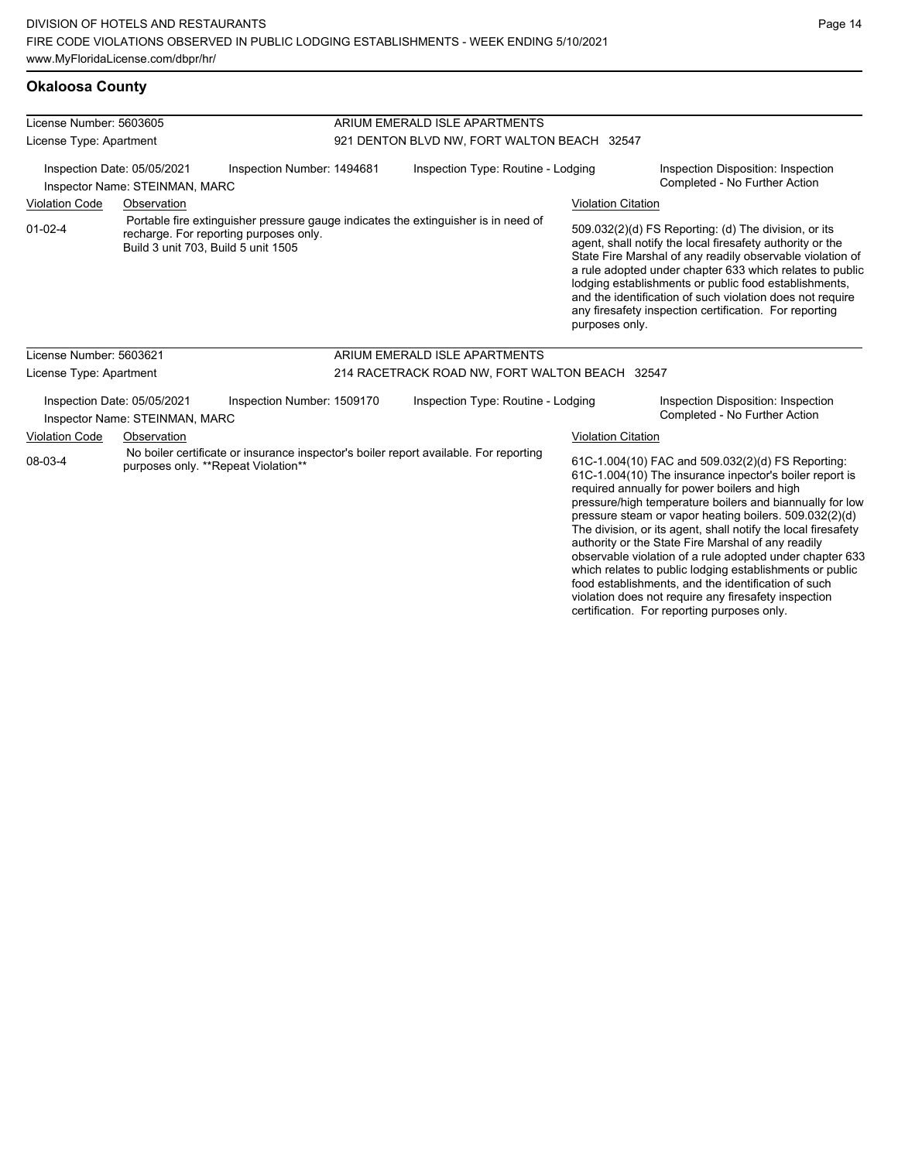#### **Okaloosa County**

| License Number: 5603605                                                                                                |             |                                                                                       | ARIUM EMERALD ISLE APARTMENTS                  |                                                                                                                                                                                                                                                                                                                                                                                                                                                                       |                           |                                                                                                                                                                                                                                                                                                                                                                                                                            |  |
|------------------------------------------------------------------------------------------------------------------------|-------------|---------------------------------------------------------------------------------------|------------------------------------------------|-----------------------------------------------------------------------------------------------------------------------------------------------------------------------------------------------------------------------------------------------------------------------------------------------------------------------------------------------------------------------------------------------------------------------------------------------------------------------|---------------------------|----------------------------------------------------------------------------------------------------------------------------------------------------------------------------------------------------------------------------------------------------------------------------------------------------------------------------------------------------------------------------------------------------------------------------|--|
| License Type: Apartment<br>Inspection Number: 1494681<br>Inspection Date: 05/05/2021<br>Inspector Name: STEINMAN, MARC |             |                                                                                       | 921 DENTON BLVD NW, FORT WALTON BEACH 32547    |                                                                                                                                                                                                                                                                                                                                                                                                                                                                       |                           |                                                                                                                                                                                                                                                                                                                                                                                                                            |  |
|                                                                                                                        |             |                                                                                       | Inspection Type: Routine - Lodging             |                                                                                                                                                                                                                                                                                                                                                                                                                                                                       |                           | Inspection Disposition: Inspection<br>Completed - No Further Action                                                                                                                                                                                                                                                                                                                                                        |  |
| <b>Violation Code</b>                                                                                                  | Observation |                                                                                       |                                                |                                                                                                                                                                                                                                                                                                                                                                                                                                                                       | <b>Violation Citation</b> |                                                                                                                                                                                                                                                                                                                                                                                                                            |  |
| $01 - 02 - 4$                                                                                                          |             | recharge. For reporting purposes only.<br>Build 3 unit 703, Build 5 unit 1505         |                                                | Portable fire extinguisher pressure gauge indicates the extinguisher is in need of                                                                                                                                                                                                                                                                                                                                                                                    | purposes only.            | 509.032(2)(d) FS Reporting: (d) The division, or its<br>agent, shall notify the local firesafety authority or the<br>State Fire Marshal of any readily observable violation of<br>a rule adopted under chapter 633 which relates to public<br>lodging establishments or public food establishments,<br>and the identification of such violation does not require<br>any firesafety inspection certification. For reporting |  |
| License Number: 5603621                                                                                                |             |                                                                                       |                                                | ARIUM EMERALD ISLE APARTMENTS                                                                                                                                                                                                                                                                                                                                                                                                                                         |                           |                                                                                                                                                                                                                                                                                                                                                                                                                            |  |
| License Type: Apartment                                                                                                |             |                                                                                       | 214 RACETRACK ROAD NW, FORT WALTON BEACH 32547 |                                                                                                                                                                                                                                                                                                                                                                                                                                                                       |                           |                                                                                                                                                                                                                                                                                                                                                                                                                            |  |
| Inspection Date: 05/05/2021<br>Inspector Name: STEINMAN, MARC                                                          |             | Inspection Number: 1509170                                                            |                                                | Inspection Type: Routine - Lodging                                                                                                                                                                                                                                                                                                                                                                                                                                    |                           | Inspection Disposition: Inspection<br>Completed - No Further Action                                                                                                                                                                                                                                                                                                                                                        |  |
| <b>Violation Code</b>                                                                                                  | Observation |                                                                                       |                                                |                                                                                                                                                                                                                                                                                                                                                                                                                                                                       | <b>Violation Citation</b> |                                                                                                                                                                                                                                                                                                                                                                                                                            |  |
| 08-03-4<br>purposes only. **Repeat Violation**                                                                         |             | No boiler certificate or insurance inspector's boiler report available. For reporting |                                                | 61C-1.004(10) FAC and 509.032(2)(d) FS Reporting:<br>61C-1.004(10) The insurance inpector's boiler report is<br>required annually for power boilers and high<br>pressure/high temperature boilers and biannually for low<br>pressure steam or vapor heating boilers. 509.032(2)(d)<br>The division, or its agent, shall notify the local firesafety<br>authority or the State Fire Marshal of any readily<br>observable violation of a rule adopted under chapter 633 |                           |                                                                                                                                                                                                                                                                                                                                                                                                                            |  |

observable violation of a rule adopted under chapter 633 which relates to public lodging establishments or public food establishments, and the identification of such violation does not require any firesafety inspection certification. For reporting purposes only.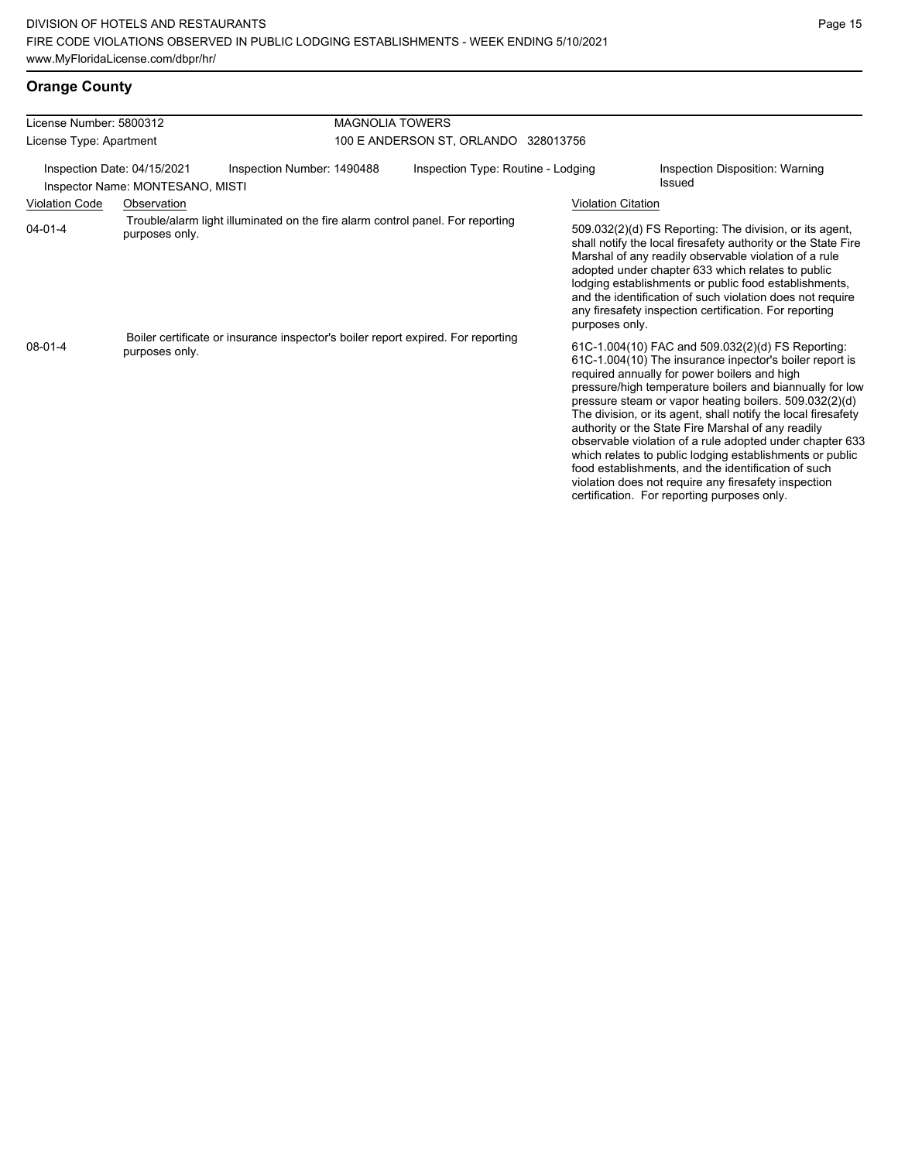# **Orange County**

| License Number: 5800312                                         |                | <b>MAGNOLIA TOWERS</b>                                                           |                                      |                           |                                                                                                                                                                                                                                                                                                                                                                                                                                                                                                                                                                                                                                                                                                 |  |
|-----------------------------------------------------------------|----------------|----------------------------------------------------------------------------------|--------------------------------------|---------------------------|-------------------------------------------------------------------------------------------------------------------------------------------------------------------------------------------------------------------------------------------------------------------------------------------------------------------------------------------------------------------------------------------------------------------------------------------------------------------------------------------------------------------------------------------------------------------------------------------------------------------------------------------------------------------------------------------------|--|
| License Type: Apartment                                         |                |                                                                                  | 100 E ANDERSON ST, ORLANDO 328013756 |                           |                                                                                                                                                                                                                                                                                                                                                                                                                                                                                                                                                                                                                                                                                                 |  |
| Inspection Date: 04/15/2021<br>Inspector Name: MONTESANO, MISTI |                | Inspection Number: 1490488                                                       | Inspection Type: Routine - Lodging   |                           | Inspection Disposition: Warning<br>Issued                                                                                                                                                                                                                                                                                                                                                                                                                                                                                                                                                                                                                                                       |  |
| <b>Violation Code</b>                                           | Observation    |                                                                                  |                                      | <b>Violation Citation</b> |                                                                                                                                                                                                                                                                                                                                                                                                                                                                                                                                                                                                                                                                                                 |  |
| $04 - 01 - 4$                                                   | purposes only. | Trouble/alarm light illuminated on the fire alarm control panel. For reporting   |                                      | purposes only.            | 509.032(2)(d) FS Reporting: The division, or its agent,<br>shall notify the local firesafety authority or the State Fire<br>Marshal of any readily observable violation of a rule<br>adopted under chapter 633 which relates to public<br>lodging establishments or public food establishments,<br>and the identification of such violation does not require<br>any firesafety inspection certification. For reporting                                                                                                                                                                                                                                                                          |  |
| $08-01-4$                                                       | purposes only. | Boiler certificate or insurance inspector's boiler report expired. For reporting |                                      |                           | 61C-1.004(10) FAC and 509.032(2)(d) FS Reporting:<br>61C-1.004(10) The insurance inpector's boiler report is<br>required annually for power boilers and high<br>pressure/high temperature boilers and biannually for low<br>pressure steam or vapor heating boilers. 509.032(2)(d)<br>The division, or its agent, shall notify the local firesafety<br>authority or the State Fire Marshal of any readily<br>observable violation of a rule adopted under chapter 633<br>which relates to public lodging establishments or public<br>food establishments, and the identification of such<br>violation does not require any firesafety inspection<br>certification. For reporting purposes only. |  |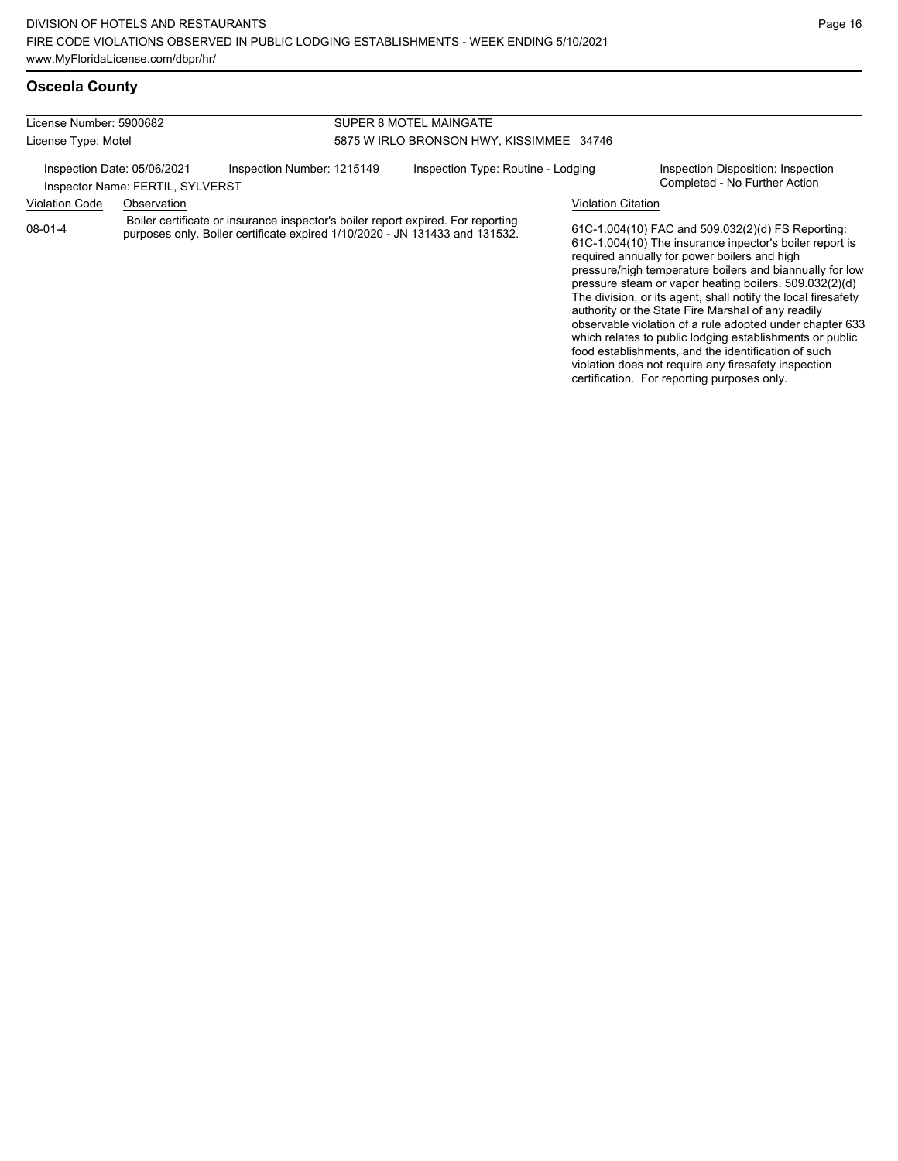## **Osceola County**

| License Number: 5900682                                         |             |                                                                                                                                                                 | SUPER 8 MOTEL MAINGATE                   |                           |                                                                                                                                                                                                                                                                                                                                                     |  |  |
|-----------------------------------------------------------------|-------------|-----------------------------------------------------------------------------------------------------------------------------------------------------------------|------------------------------------------|---------------------------|-----------------------------------------------------------------------------------------------------------------------------------------------------------------------------------------------------------------------------------------------------------------------------------------------------------------------------------------------------|--|--|
| License Type: Motel                                             |             |                                                                                                                                                                 | 5875 W IRLO BRONSON HWY, KISSIMMEE 34746 |                           |                                                                                                                                                                                                                                                                                                                                                     |  |  |
| Inspection Date: 05/06/2021<br>Inspector Name: FERTIL, SYLVERST |             | Inspection Number: 1215149                                                                                                                                      | Inspection Type: Routine - Lodging       |                           | Inspection Disposition: Inspection<br>Completed - No Further Action                                                                                                                                                                                                                                                                                 |  |  |
| <b>Violation Code</b>                                           | Observation |                                                                                                                                                                 |                                          | <b>Violation Citation</b> |                                                                                                                                                                                                                                                                                                                                                     |  |  |
| $08 - 01 - 4$                                                   |             | Boiler certificate or insurance inspector's boiler report expired. For reporting<br>purposes only. Boiler certificate expired 1/10/2020 - JN 131433 and 131532. |                                          |                           | 61C-1.004(10) FAC and 509.032(2)(d) FS Reporting:<br>61C-1.004(10) The insurance inpector's boiler report is<br>required annually for power boilers and high<br>pressure/high temperature boilers and biannually for low<br>pressure steam or vapor heating boilers. 509.032(2)(d)<br>The division, or its agent, shall notify the local firesafety |  |  |

authority or the State Fire Marshal of any readily observable violation of a rule adopted under chapter 633 which relates to public lodging establishments or public food establishments, and the identification of such violation does not require any firesafety inspection certification. For reporting purposes only.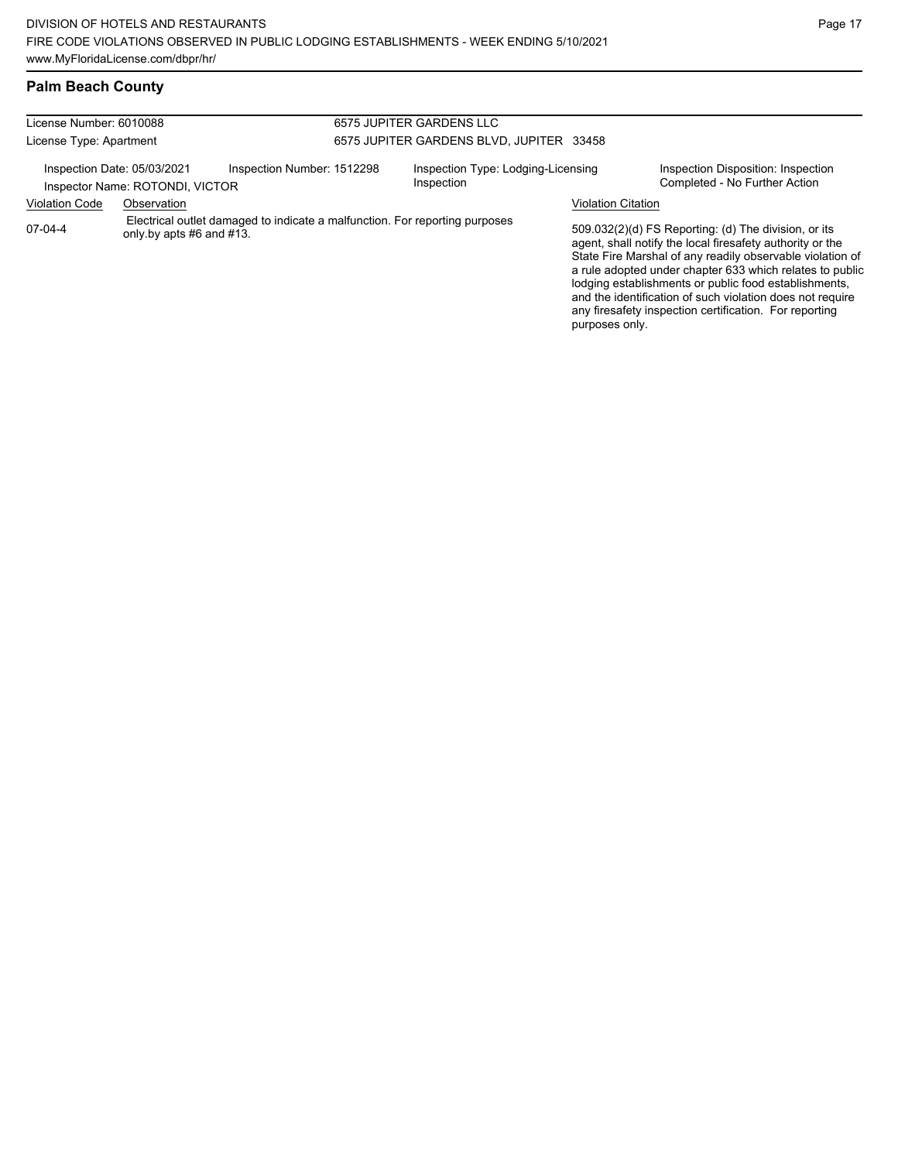## **Palm Beach County**

| License Number: 6010088                                                                                            |             |                                          | 6575 JUPITER GARDENS LLC                         |                                                                                                                                                                                                                                                                                                                                                                                                                            |                                                                     |  |  |
|--------------------------------------------------------------------------------------------------------------------|-------------|------------------------------------------|--------------------------------------------------|----------------------------------------------------------------------------------------------------------------------------------------------------------------------------------------------------------------------------------------------------------------------------------------------------------------------------------------------------------------------------------------------------------------------------|---------------------------------------------------------------------|--|--|
| License Type: Apartment                                                                                            |             | 6575 JUPITER GARDENS BLVD. JUPITER 33458 |                                                  |                                                                                                                                                                                                                                                                                                                                                                                                                            |                                                                     |  |  |
| Inspection Date: 05/03/2021<br>Inspection Number: 1512298<br>Inspector Name: ROTONDI, VICTOR                       |             |                                          | Inspection Type: Lodging-Licensing<br>Inspection |                                                                                                                                                                                                                                                                                                                                                                                                                            | Inspection Disposition: Inspection<br>Completed - No Further Action |  |  |
| <b>Violation Code</b>                                                                                              | Observation |                                          |                                                  |                                                                                                                                                                                                                                                                                                                                                                                                                            | <b>Violation Citation</b>                                           |  |  |
| Electrical outlet damaged to indicate a malfunction. For reporting purposes<br>07-04-4<br>only by apts #6 and #13. |             |                                          | purposes only.                                   | 509.032(2)(d) FS Reporting: (d) The division, or its<br>agent, shall notify the local firesafety authority or the<br>State Fire Marshal of any readily observable violation of<br>a rule adopted under chapter 633 which relates to public<br>lodging establishments or public food establishments,<br>and the identification of such violation does not require<br>any firesafety inspection certification. For reporting |                                                                     |  |  |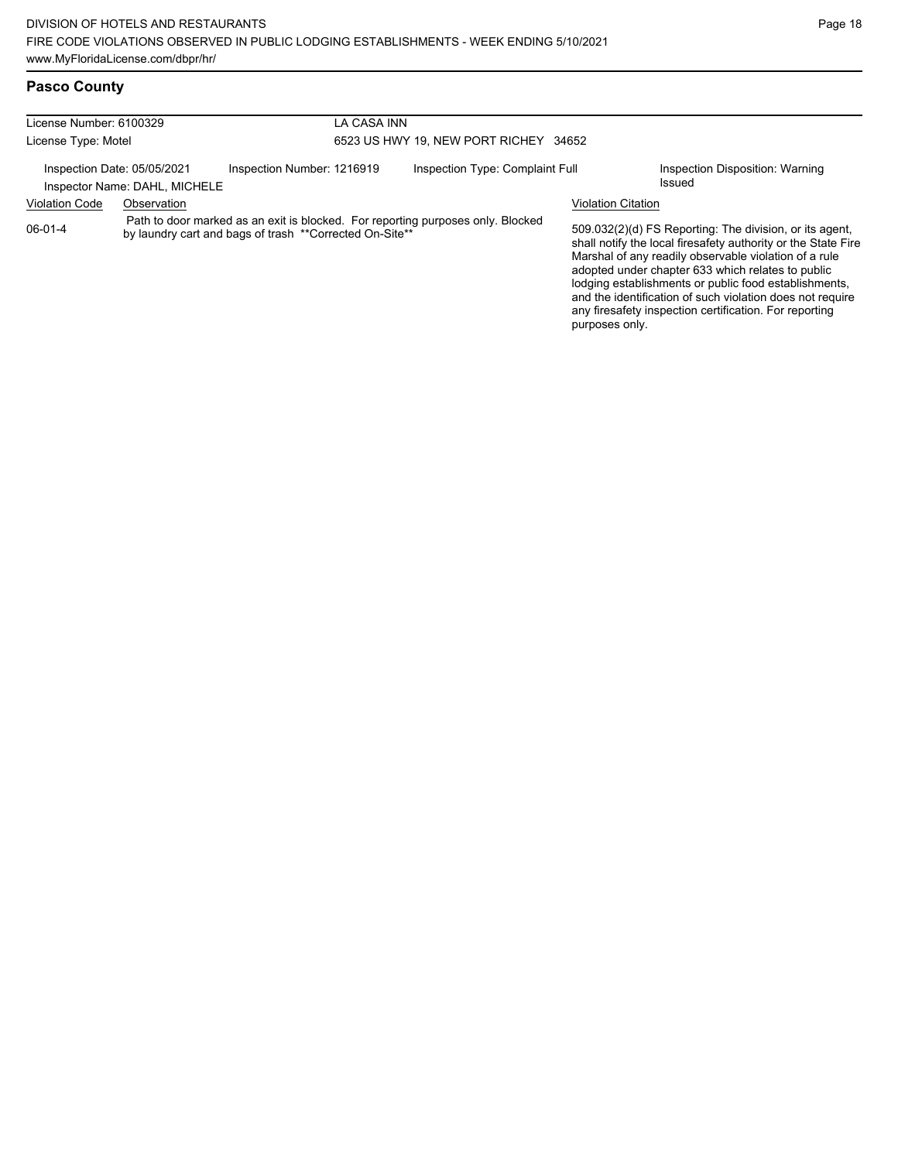| <b>Pasco County</b> |
|---------------------|
|                     |

| License Number: 6100329     |                               | LA CASA INN<br>6523 US HWY 19. NEW PORT RICHEY 34652    |  |                                                                                 |                           |                                                                                                                                                                                                                                                                                                                                                                                                                        |
|-----------------------------|-------------------------------|---------------------------------------------------------|--|---------------------------------------------------------------------------------|---------------------------|------------------------------------------------------------------------------------------------------------------------------------------------------------------------------------------------------------------------------------------------------------------------------------------------------------------------------------------------------------------------------------------------------------------------|
| License Type: Motel         |                               |                                                         |  |                                                                                 |                           |                                                                                                                                                                                                                                                                                                                                                                                                                        |
| Inspection Date: 05/05/2021 | Inspector Name: DAHL, MICHELE | Inspection Number: 1216919                              |  | Inspection Type: Complaint Full                                                 |                           | Inspection Disposition: Warning<br>Issued                                                                                                                                                                                                                                                                                                                                                                              |
| <b>Violation Code</b>       | Observation                   |                                                         |  |                                                                                 | <b>Violation Citation</b> |                                                                                                                                                                                                                                                                                                                                                                                                                        |
| $06-01-4$                   |                               | by laundry cart and bags of trash **Corrected On-Site** |  | Path to door marked as an exit is blocked. For reporting purposes only. Blocked | purposes only.            | 509.032(2)(d) FS Reporting: The division, or its agent,<br>shall notify the local firesafety authority or the State Fire<br>Marshal of any readily observable violation of a rule<br>adopted under chapter 633 which relates to public<br>lodging establishments or public food establishments,<br>and the identification of such violation does not require<br>any firesafety inspection certification. For reporting |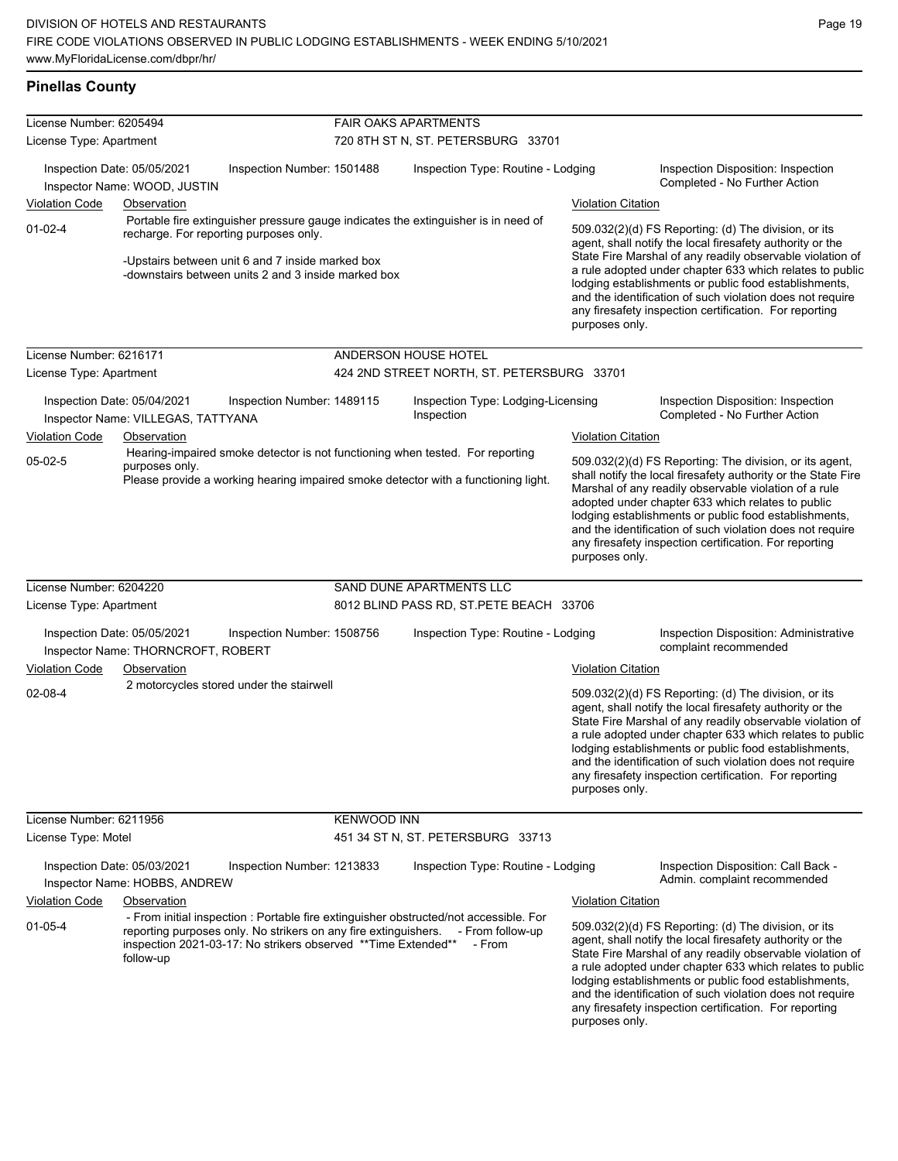#### **Pinellas County**

| License Number: 6205494                                                                                                                                                      |                                                                   |                                                                                                                                                   | <b>FAIR OAKS APARTMENTS</b> |                                                                                                                                                                                                                                                                                                                                                                                                                                              |                           |                                                                                                                                                                                                                                                                                                                                                                                                                            |  |
|------------------------------------------------------------------------------------------------------------------------------------------------------------------------------|-------------------------------------------------------------------|---------------------------------------------------------------------------------------------------------------------------------------------------|-----------------------------|----------------------------------------------------------------------------------------------------------------------------------------------------------------------------------------------------------------------------------------------------------------------------------------------------------------------------------------------------------------------------------------------------------------------------------------------|---------------------------|----------------------------------------------------------------------------------------------------------------------------------------------------------------------------------------------------------------------------------------------------------------------------------------------------------------------------------------------------------------------------------------------------------------------------|--|
| License Type: Apartment                                                                                                                                                      |                                                                   |                                                                                                                                                   |                             | 720 8TH ST N, ST. PETERSBURG 33701                                                                                                                                                                                                                                                                                                                                                                                                           |                           |                                                                                                                                                                                                                                                                                                                                                                                                                            |  |
|                                                                                                                                                                              | Inspection Date: 05/05/2021<br>Inspector Name: WOOD, JUSTIN       | Inspection Number: 1501488                                                                                                                        |                             | Inspection Type: Routine - Lodging                                                                                                                                                                                                                                                                                                                                                                                                           |                           | Inspection Disposition: Inspection<br>Completed - No Further Action                                                                                                                                                                                                                                                                                                                                                        |  |
| Violation Code                                                                                                                                                               | Observation                                                       |                                                                                                                                                   |                             |                                                                                                                                                                                                                                                                                                                                                                                                                                              | <b>Violation Citation</b> |                                                                                                                                                                                                                                                                                                                                                                                                                            |  |
| $01-02-4$                                                                                                                                                                    |                                                                   | recharge. For reporting purposes only.<br>-Upstairs between unit 6 and 7 inside marked box<br>-downstairs between units 2 and 3 inside marked box |                             | Portable fire extinguisher pressure gauge indicates the extinguisher is in need of                                                                                                                                                                                                                                                                                                                                                           | purposes only.            | 509.032(2)(d) FS Reporting: (d) The division, or its<br>agent, shall notify the local firesafety authority or the<br>State Fire Marshal of any readily observable violation of<br>a rule adopted under chapter 633 which relates to public<br>lodging establishments or public food establishments,<br>and the identification of such violation does not require<br>any firesafety inspection certification. For reporting |  |
| License Number: 6216171                                                                                                                                                      |                                                                   |                                                                                                                                                   |                             | ANDERSON HOUSE HOTEL                                                                                                                                                                                                                                                                                                                                                                                                                         |                           |                                                                                                                                                                                                                                                                                                                                                                                                                            |  |
| License Type: Apartment                                                                                                                                                      |                                                                   |                                                                                                                                                   |                             | 424 2ND STREET NORTH, ST. PETERSBURG 33701                                                                                                                                                                                                                                                                                                                                                                                                   |                           |                                                                                                                                                                                                                                                                                                                                                                                                                            |  |
|                                                                                                                                                                              | Inspection Date: 05/04/2021<br>Inspector Name: VILLEGAS, TATTYANA | Inspection Number: 1489115                                                                                                                        |                             | Inspection Type: Lodging-Licensing<br>Inspection                                                                                                                                                                                                                                                                                                                                                                                             |                           | Inspection Disposition: Inspection<br>Completed - No Further Action                                                                                                                                                                                                                                                                                                                                                        |  |
| <b>Violation Code</b>                                                                                                                                                        | Observation                                                       |                                                                                                                                                   |                             |                                                                                                                                                                                                                                                                                                                                                                                                                                              | <b>Violation Citation</b> |                                                                                                                                                                                                                                                                                                                                                                                                                            |  |
| $05-02-5$                                                                                                                                                                    | purposes only.                                                    |                                                                                                                                                   |                             | Hearing-impaired smoke detector is not functioning when tested. For reporting<br>Please provide a working hearing impaired smoke detector with a functioning light.                                                                                                                                                                                                                                                                          | purposes only.            | 509.032(2)(d) FS Reporting: The division, or its agent,<br>shall notify the local firesafety authority or the State Fire<br>Marshal of any readily observable violation of a rule<br>adopted under chapter 633 which relates to public<br>lodging establishments or public food establishments,<br>and the identification of such violation does not require<br>any firesafety inspection certification. For reporting     |  |
| License Number: 6204220                                                                                                                                                      |                                                                   |                                                                                                                                                   |                             | SAND DUNE APARTMENTS LLC                                                                                                                                                                                                                                                                                                                                                                                                                     |                           |                                                                                                                                                                                                                                                                                                                                                                                                                            |  |
| License Type: Apartment                                                                                                                                                      |                                                                   |                                                                                                                                                   |                             | 8012 BLIND PASS RD, ST.PETE BEACH 33706                                                                                                                                                                                                                                                                                                                                                                                                      |                           |                                                                                                                                                                                                                                                                                                                                                                                                                            |  |
|                                                                                                                                                                              | Inspection Date: 05/05/2021<br>Inspector Name: THORNCROFT, ROBERT | Inspection Number: 1508756                                                                                                                        |                             | Inspection Type: Routine - Lodging                                                                                                                                                                                                                                                                                                                                                                                                           |                           | Inspection Disposition: Administrative<br>complaint recommended                                                                                                                                                                                                                                                                                                                                                            |  |
| Violation Code                                                                                                                                                               | Observation                                                       |                                                                                                                                                   |                             |                                                                                                                                                                                                                                                                                                                                                                                                                                              | <b>Violation Citation</b> |                                                                                                                                                                                                                                                                                                                                                                                                                            |  |
| $02 - 08 - 4$                                                                                                                                                                |                                                                   | 2 motorcycles stored under the stairwell                                                                                                          |                             |                                                                                                                                                                                                                                                                                                                                                                                                                                              | purposes only.            | 509.032(2)(d) FS Reporting: (d) The division, or its<br>agent, shall notify the local firesafety authority or the<br>State Fire Marshal of any readily observable violation of<br>a rule adopted under chapter 633 which relates to public<br>lodging establishments or public food establishments,<br>and the identification of such violation does not require<br>any firesafety inspection certification. For reporting |  |
| License Number: 6211956                                                                                                                                                      |                                                                   |                                                                                                                                                   | <b>KENWOOD INN</b>          |                                                                                                                                                                                                                                                                                                                                                                                                                                              |                           |                                                                                                                                                                                                                                                                                                                                                                                                                            |  |
| License Type: Motel                                                                                                                                                          |                                                                   |                                                                                                                                                   |                             | 451 34 ST N, ST. PETERSBURG 33713                                                                                                                                                                                                                                                                                                                                                                                                            |                           |                                                                                                                                                                                                                                                                                                                                                                                                                            |  |
|                                                                                                                                                                              | Inspection Date: 05/03/2021<br>Inspector Name: HOBBS, ANDREW      | Inspection Number: 1213833                                                                                                                        |                             | Inspection Type: Routine - Lodging                                                                                                                                                                                                                                                                                                                                                                                                           |                           | Inspection Disposition: Call Back -<br>Admin. complaint recommended                                                                                                                                                                                                                                                                                                                                                        |  |
| Violation Code                                                                                                                                                               | Observation                                                       |                                                                                                                                                   |                             |                                                                                                                                                                                                                                                                                                                                                                                                                                              | <b>Violation Citation</b> |                                                                                                                                                                                                                                                                                                                                                                                                                            |  |
| $01-05-4$<br>reporting purposes only. No strikers on any fire extinguishers. - From follow-up<br>inspection 2021-03-17: No strikers observed ** Time Extended**<br>follow-up |                                                                   | - From initial inspection : Portable fire extinguisher obstructed/not accessible. For<br>- From                                                   |                             | 509.032(2)(d) FS Reporting: (d) The division, or its<br>agent, shall notify the local firesafety authority or the<br>State Fire Marshal of any readily observable violation of<br>a rule adopted under chapter 633 which relates to public<br>lodging establishments or public food establishments,<br>and the identification of such violation does not require<br>any firesafety inspection certification. For reporting<br>purposes only. |                           |                                                                                                                                                                                                                                                                                                                                                                                                                            |  |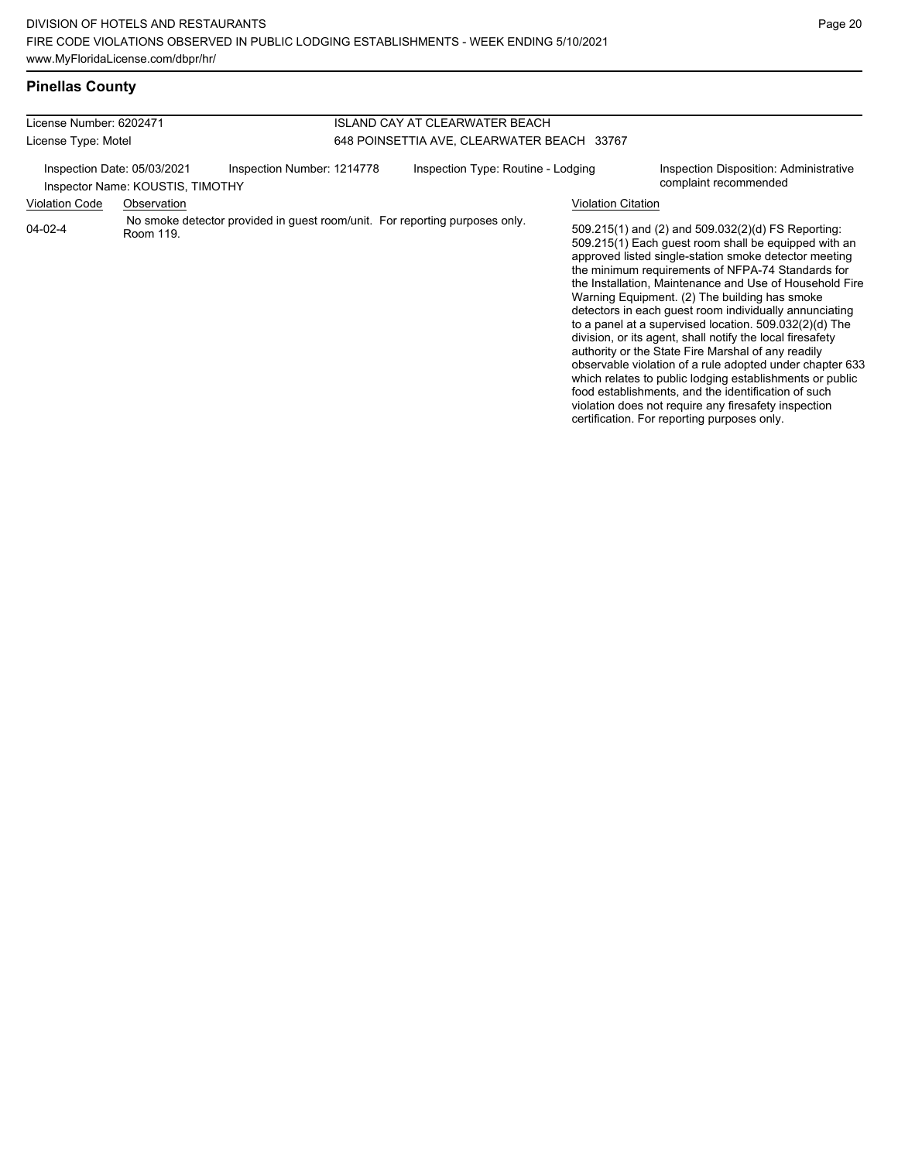## **Pinellas County**

| License Number: 6202471                                         |             |                                                                             | <b>ISLAND CAY AT CLEARWATER BEACH</b>      |                           |                                                                                                                                                                                                                                                                                                                                                                                                                                                                                                                                                                                                                                                                                                                                                                                                                                                                   |  |
|-----------------------------------------------------------------|-------------|-----------------------------------------------------------------------------|--------------------------------------------|---------------------------|-------------------------------------------------------------------------------------------------------------------------------------------------------------------------------------------------------------------------------------------------------------------------------------------------------------------------------------------------------------------------------------------------------------------------------------------------------------------------------------------------------------------------------------------------------------------------------------------------------------------------------------------------------------------------------------------------------------------------------------------------------------------------------------------------------------------------------------------------------------------|--|
| License Type: Motel                                             |             |                                                                             | 648 POINSETTIA AVE, CLEARWATER BEACH 33767 |                           |                                                                                                                                                                                                                                                                                                                                                                                                                                                                                                                                                                                                                                                                                                                                                                                                                                                                   |  |
| Inspection Date: 05/03/2021<br>Inspector Name: KOUSTIS, TIMOTHY |             | Inspection Number: 1214778                                                  | Inspection Type: Routine - Lodging         |                           | Inspection Disposition: Administrative<br>complaint recommended                                                                                                                                                                                                                                                                                                                                                                                                                                                                                                                                                                                                                                                                                                                                                                                                   |  |
| <b>Violation Code</b>                                           | Observation |                                                                             |                                            | <b>Violation Citation</b> |                                                                                                                                                                                                                                                                                                                                                                                                                                                                                                                                                                                                                                                                                                                                                                                                                                                                   |  |
| 04-02-4                                                         | Room 119.   | No smoke detector provided in guest room/unit. For reporting purposes only. |                                            |                           | 509.215(1) and (2) and 509.032(2)(d) FS Reporting:<br>509.215(1) Each guest room shall be equipped with an<br>approved listed single-station smoke detector meeting<br>the minimum requirements of NFPA-74 Standards for<br>the Installation, Maintenance and Use of Household Fire<br>Warning Equipment. (2) The building has smoke<br>detectors in each quest room individually annunciating<br>to a panel at a supervised location. 509.032(2)(d) The<br>division, or its agent, shall notify the local firesafety<br>authority or the State Fire Marshal of any readily<br>observable violation of a rule adopted under chapter 633<br>which relates to public lodging establishments or public<br>food establishments, and the identification of such<br>violation does not require any firesafety inspection<br>certification. For reporting purposes only. |  |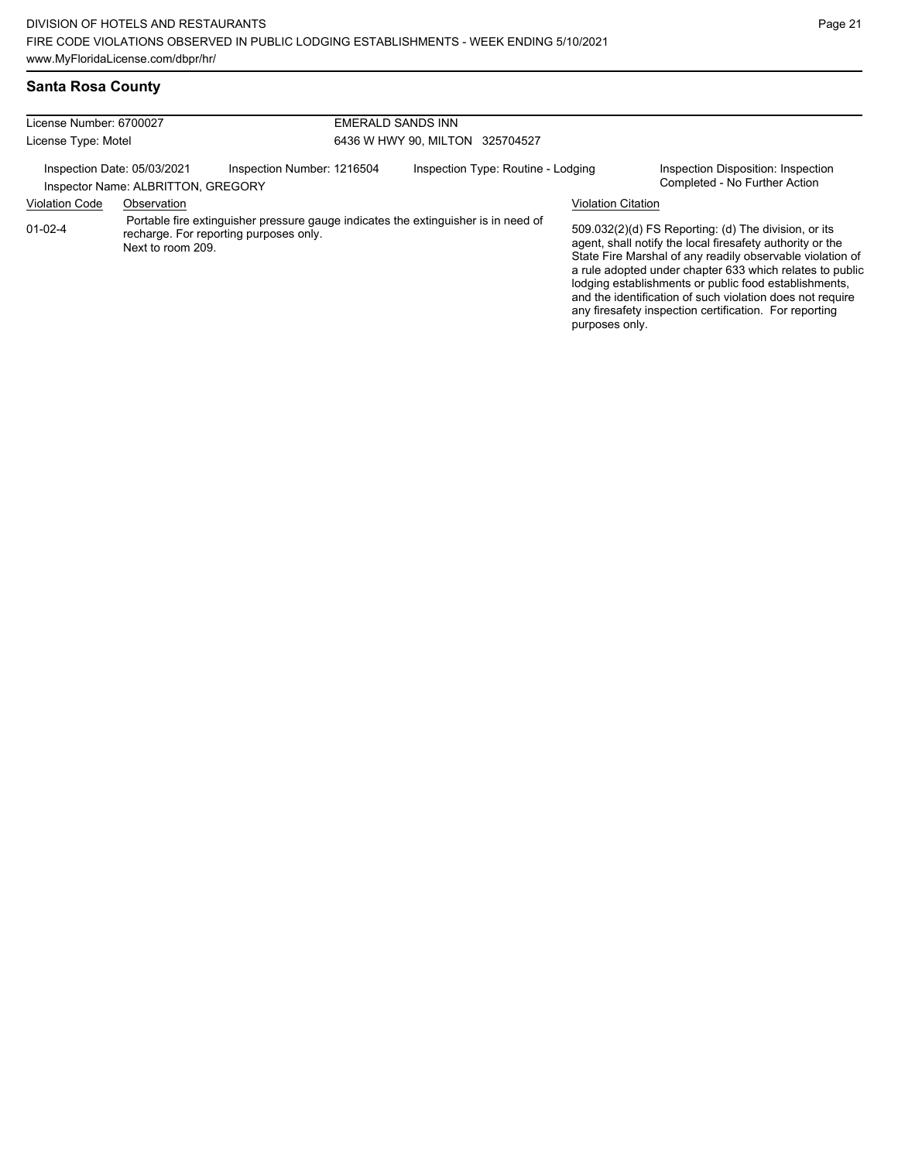# **Santa Rosa County**

| License Number: 6700027                                           |                   |                                                                                                                              | EMERALD SANDS INN                  |                           |                                                                                                                                                                                                                                                                                                                                                                                                                            |  |  |
|-------------------------------------------------------------------|-------------------|------------------------------------------------------------------------------------------------------------------------------|------------------------------------|---------------------------|----------------------------------------------------------------------------------------------------------------------------------------------------------------------------------------------------------------------------------------------------------------------------------------------------------------------------------------------------------------------------------------------------------------------------|--|--|
| License Type: Motel                                               |                   |                                                                                                                              | 6436 W HWY 90, MILTON 325704527    |                           |                                                                                                                                                                                                                                                                                                                                                                                                                            |  |  |
| Inspection Date: 05/03/2021<br>Inspector Name: ALBRITTON, GREGORY |                   | Inspection Number: 1216504                                                                                                   | Inspection Type: Routine - Lodging |                           | Inspection Disposition: Inspection<br>Completed - No Further Action                                                                                                                                                                                                                                                                                                                                                        |  |  |
| <b>Violation Code</b>                                             | Observation       |                                                                                                                              |                                    | <b>Violation Citation</b> |                                                                                                                                                                                                                                                                                                                                                                                                                            |  |  |
| $01-02-4$                                                         | Next to room 209. | Portable fire extinguisher pressure gauge indicates the extinguisher is in need of<br>recharge. For reporting purposes only. |                                    | purposes only.            | 509.032(2)(d) FS Reporting: (d) The division, or its<br>agent, shall notify the local firesafety authority or the<br>State Fire Marshal of any readily observable violation of<br>a rule adopted under chapter 633 which relates to public<br>lodging establishments or public food establishments,<br>and the identification of such violation does not require<br>any firesafety inspection certification. For reporting |  |  |